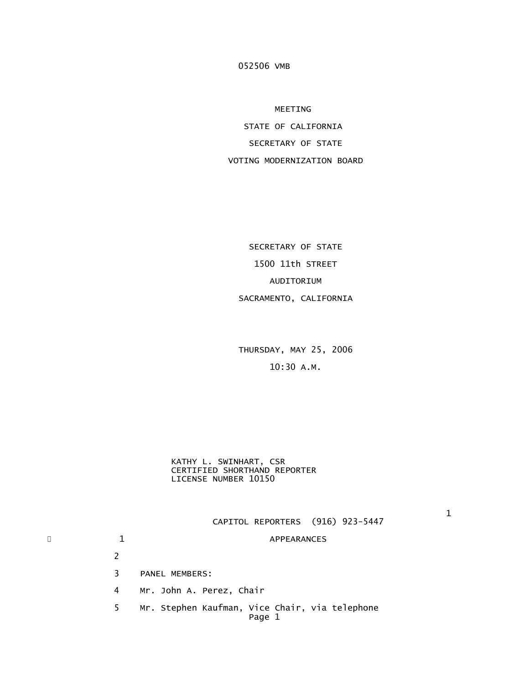MEETING

 STATE OF CALIFORNIA SECRETARY OF STATE VOTING MODERNIZATION BOARD

 SECRETARY OF STATE 1500 11th STREET AUDITORIUM SACRAMENTO, CALIFORNIA

 THURSDAY, MAY 25, 2006 10:30 A.M.

 KATHY L. SWINHART, CSR CERTIFIED SHORTHAND REPORTER LICENSE NUMBER 10150

 $1$ CAPITOL REPORTERS (916) 923-5447

# \* 1 1 APPEARANCES

2

3 PANEL MEMBERS:

4 Mr. John A. Perez, Chair

 5 Mr. Stephen Kaufman, Vice Chair, via telephone Page 1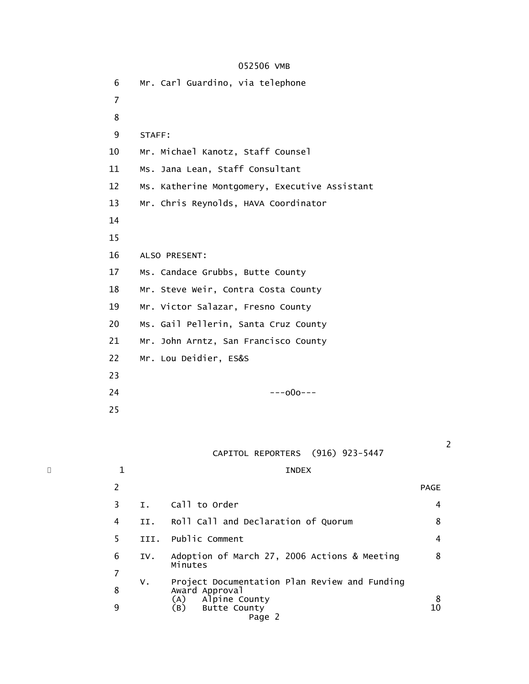6 Mr. Carl Guardino, via telephone 7 8 and 3 and 3 and 3 and 3 and 3 and 3 and 3 and 3 and 3 and 3 and 3 and 3 and 3 and 3 and 3 and 3 and 3 and 3 9 STAFF: 10 Mr. Michael Kanotz, Staff Counsel 11 Ms. Jana Lean, Staff Consultant 12 Ms. Katherine Montgomery, Executive Assistant 13 Mr. Chris Reynolds, HAVA Coordinator 14 15 16 ALSO PRESENT: 17 Ms. Candace Grubbs, Butte County 18 Mr. Steve Weir, Contra Costa County 19 Mr. Victor Salazar, Fresno County 20 Ms. Gail Pellerin, Santa Cruz County 21 Mr. John Arntz, San Francisco County 22 Mr. Lou Deidier, ES&S 23 24 ---o0o--- 25

CAPITOL REPORTERS (916) 923-5447

 $\overline{\phantom{a}}$   $\overline{\phantom{a}}$   $\overline{\phantom{a}}$   $\overline{\phantom{a}}$   $\overline{\phantom{a}}$   $\overline{\phantom{a}}$   $\overline{\phantom{a}}$   $\overline{\phantom{a}}$   $\overline{\phantom{a}}$   $\overline{\phantom{a}}$   $\overline{\phantom{a}}$   $\overline{\phantom{a}}$   $\overline{\phantom{a}}$   $\overline{\phantom{a}}$   $\overline{\phantom{a}}$   $\overline{\phantom{a}}$   $\overline{\phantom{a}}$   $\overline{\phantom{a}}$   $\overline{\$ 

|    |      |                                                                                  | <b>PAGE</b>                            |
|----|------|----------------------------------------------------------------------------------|----------------------------------------|
| 3  | Ι.   | Call to Order                                                                    | 4                                      |
| 4  | II.  | Roll Call and Declaration of Quorum                                              | 8                                      |
| 5. | III. | Public Comment                                                                   | 4                                      |
| 6  | IV.  | Adoption of March 27, 2006 Actions & Meeting<br>Minutes                          | 8                                      |
|    |      |                                                                                  |                                        |
| 8  | ν.   | Project Documentation Plan Review and Funding<br>Award Approval<br>Alpine County |                                        |
| 9  |      | (A)<br>(B)<br><b>Butte County</b><br>Page 2                                      | $\begin{array}{c} 8 \\ 10 \end{array}$ |

2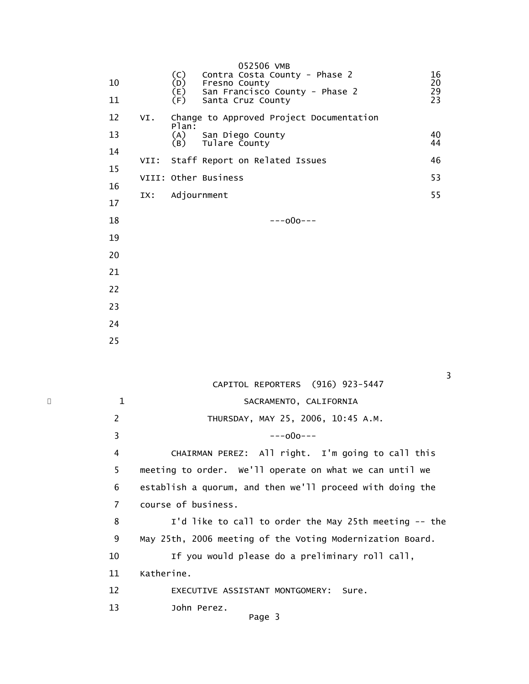| 10<br>11 |      | (C)<br>(D)<br>(E)<br>(F) | 052506 VMB<br>Contra Costa County - Phase 2<br>Fresno County<br>San Francisco County - Phase 2<br>Santa Cruz County | 16<br>20<br>29<br>23 |
|----------|------|--------------------------|---------------------------------------------------------------------------------------------------------------------|----------------------|
| 12       | VI.  |                          | Change to Approved Project Documentation                                                                            |                      |
| 13       |      | Plan:<br>(A)<br>(B)      | San Diego County                                                                                                    | 40<br>44             |
| 14       | VII: |                          | Tulare County<br>Staff Report on Related Issues                                                                     | 46                   |
| 15       |      |                          | VIII: Other Business                                                                                                | 53                   |
| 16       |      |                          |                                                                                                                     | 55                   |
| 17       | IX:  | Adjournment              |                                                                                                                     |                      |
| 18       |      |                          | $---000---$                                                                                                         |                      |
| 19       |      |                          |                                                                                                                     |                      |
| 20       |      |                          |                                                                                                                     |                      |
| 21       |      |                          |                                                                                                                     |                      |
| 22       |      |                          |                                                                                                                     |                      |
| 23       |      |                          |                                                                                                                     |                      |
| 24       |      |                          |                                                                                                                     |                      |
| 25       |      |                          |                                                                                                                     |                      |

|   |              | CAPITOL REPORTERS (916) 923-5447                          |
|---|--------------|-----------------------------------------------------------|
| ¥ | $\mathbf{1}$ | SACRAMENTO, CALIFORNIA                                    |
|   | 2            | THURSDAY, MAY 25, 2006, 10:45 A.M.                        |
|   | 3            | ---000---                                                 |
|   | 4            | CHAIRMAN PEREZ: All right. I'm going to call this         |
|   | 5            | meeting to order. We'll operate on what we can until we   |
|   | 6            | establish a quorum, and then we'll proceed with doing the |
|   | 7            | course of business.                                       |
|   | 8            | I'd like to call to order the May 25th meeting -- the     |
|   | 9            | May 25th, 2006 meeting of the Voting Modernization Board. |
|   | 10           | If you would please do a preliminary roll call,           |
|   | 11           | Katherine.                                                |
|   | 12           | EXECUTIVE ASSISTANT MONTGOMERY:<br>Sure.                  |
|   | 13           | John Perez.<br>Page 3                                     |
|   |              |                                                           |

<u>3</u>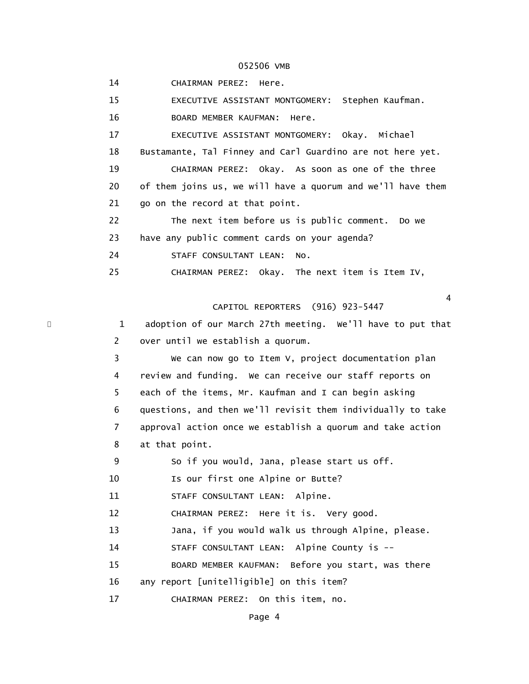14 CHAIRMAN PEREZ: Here.

15 EXECUTIVE ASSISTANT MONTGOMERY: Stephen Kaufman.

16 BOARD MEMBER KAUFMAN: Here.

 17 EXECUTIVE ASSISTANT MONTGOMERY: Okay. Michael 18 Bustamante, Tal Finney and Carl Guardino are not here yet.

 19 CHAIRMAN PEREZ: Okay. As soon as one of the three 20 of them joins us, we will have a quorum and we'll have them 21 go on the record at that point.

 22 The next item before us is public comment. Do we 23 have any public comment cards on your agenda?

24 STAFF CONSULTANT LEAN: No.

25 CHAIRMAN PEREZ: Okay. The next item is Item IV,

CAPITOL REPORTERS (916) 923-5447

4

1 adoption of our March 27th meeting. We'll have to put that 2 over until we establish a quorum.

 3 We can now go to Item V, project documentation plan 4 review and funding. We can receive our staff reports on 5 each of the items, Mr. Kaufman and I can begin asking 6 questions, and then we'll revisit them individually to take 7 approval action once we establish a quorum and take action 8 at that point.

9 So if you would, Jana, please start us off.

10 **Is our first one Alpine or Butte?** 

11 STAFF CONSULTANT LEAN: Alpine.

12 CHAIRMAN PEREZ: Here it is. Very good.

13 Jana, if you would walk us through Alpine, please.

14 STAFF CONSULTANT LEAN: Alpine County is --

15 BOARD MEMBER KAUFMAN: Before you start, was there

16 any report [unitelligible] on this item?

17 CHAIRMAN PEREZ: On this item, no.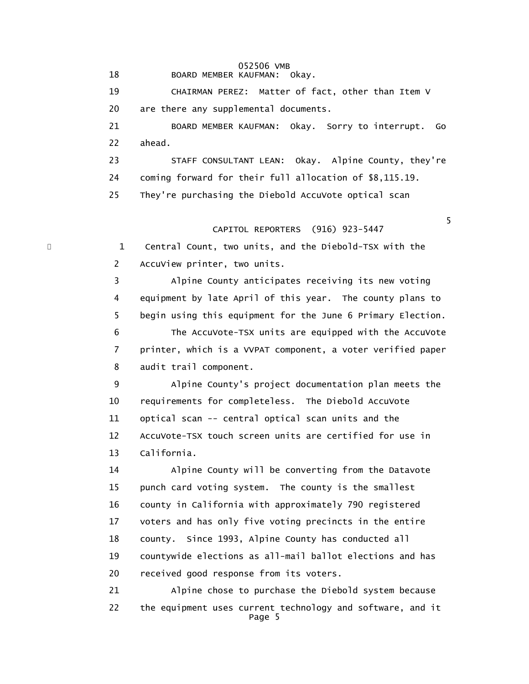18 BOARD MEMBER KAUFMAN: Okay.

 19 CHAIRMAN PEREZ: Matter of fact, other than Item V 20 are there any supplemental documents.

 21 BOARD MEMBER KAUFMAN: Okay. Sorry to interrupt. Go 22 ahead.

 23 STAFF CONSULTANT LEAN: Okay. Alpine County, they're 24 coming forward for their full allocation of \$8,115.19. 25 They're purchasing the Diebold AccuVote optical scan

the contract of the contract of the contract of the contract of the contract of the contract of the contract of the contract of the contract of the contract of the contract of the contract of the contract of the contract o CAPITOL REPORTERS (916) 923-5447

> 1 Central Count, two units, and the Diebold-TSX with the 2 AccuView printer, two units.

 3 Alpine County anticipates receiving its new voting 4 equipment by late April of this year. The county plans to 5 begin using this equipment for the June 6 Primary Election. 6 The AccuVote-TSX units are equipped with the AccuVote 7 printer, which is a VVPAT component, a voter verified paper 8 audit trail component.

 9 Alpine County's project documentation plan meets the 10 requirements for completeless. The Diebold AccuVote 11 optical scan -- central optical scan units and the 12 AccuVote-TSX touch screen units are certified for use in 13 California.

 14 Alpine County will be converting from the Datavote 15 punch card voting system. The county is the smallest 16 county in California with approximately 790 registered 17 voters and has only five voting precincts in the entire 18 county. Since 1993, Alpine County has conducted all 19 countywide elections as all-mail ballot elections and has 20 received good response from its voters.

 21 Alpine chose to purchase the Diebold system because 22 the equipment uses current technology and software, and it Page 5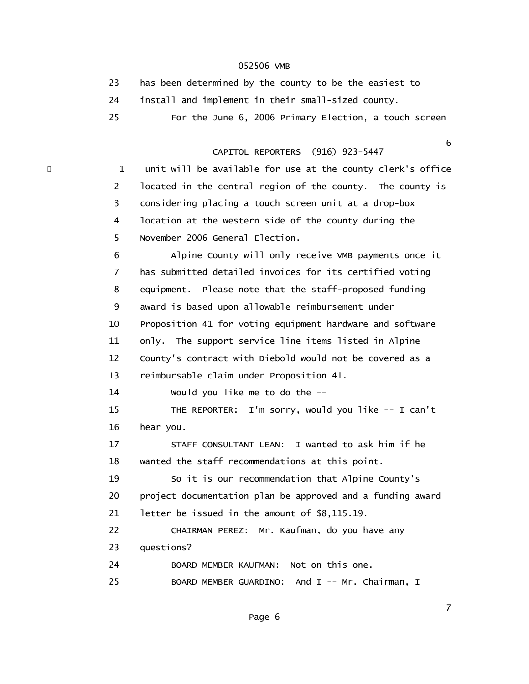|     | has been determined by the county to be the easiest to |
|-----|--------------------------------------------------------|
|     | install and implement in their small-sized county.     |
| 25. | For the June 6, 2006 Primary Election, a touch screen  |

#### $\sim$  6.000  $\sim$  6.000  $\sim$  6.000  $\sim$  6.000  $\sim$  6.000  $\sim$  6.000  $\sim$  6.000  $\sim$  6.000  $\sim$  6.000  $\sim$  6.000  $\sim$  6.000  $\sim$  6.000  $\sim$  6.000  $\sim$  6.000  $\sim$  6.000  $\sim$  6.000  $\sim$  6.000  $\sim$  6.000  $\sim$  6.000  $\sim$  6.000 CAPITOL REPORTERS (916) 923-5447

\* 1 unit will be available for use at the county clerk's office 2 located in the central region of the county. The county is 3 considering placing a touch screen unit at a drop-box 4 location at the western side of the county during the 5 November 2006 General Election.

> 6 Alpine County will only receive VMB payments once it 7 has submitted detailed invoices for its certified voting 8 equipment. Please note that the staff-proposed funding 9 award is based upon allowable reimbursement under 10 Proposition 41 for voting equipment hardware and software 11 only. The support service line items listed in Alpine 12 County's contract with Diebold would not be covered as a 13 reimbursable claim under Proposition 41.

14 Would you like me to do the --

 15 THE REPORTER: I'm sorry, would you like -- I can't 16 hear you.

 17 STAFF CONSULTANT LEAN: I wanted to ask him if he 18 wanted the staff recommendations at this point.

 19 So it is our recommendation that Alpine County's 20 project documentation plan be approved and a funding award 21 letter be issued in the amount of \$8,115.19.

 22 CHAIRMAN PEREZ: Mr. Kaufman, do you have any 23 questions?

 24 BOARD MEMBER KAUFMAN: Not on this one. 25 BOARD MEMBER GUARDINO: And I -- Mr. Chairman, I

<u>7</u> The contract of the contract of the contract of the contract of the contract of the contract of the contract of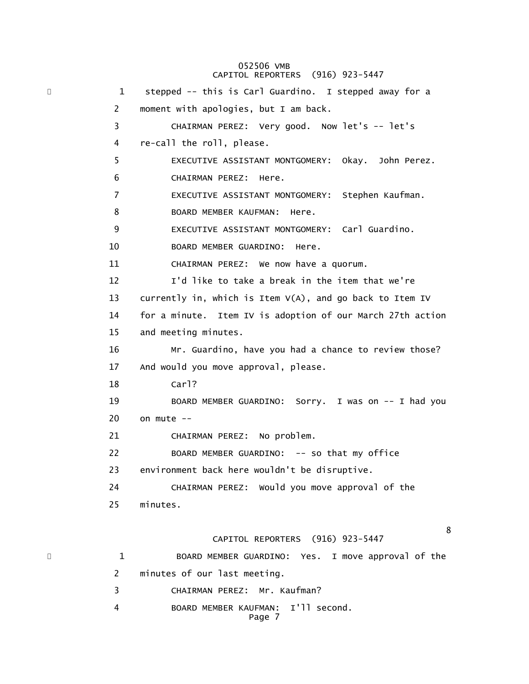#### 052506 VMB CAPITOL REPORTERS (916) 923-5447

\* 1 stepped -- this is Carl Guardino. I stepped away for a 2 moment with apologies, but I am back. 3 CHAIRMAN PEREZ: Very good. Now let's -- let's 4 re-call the roll, please. 5 EXECUTIVE ASSISTANT MONTGOMERY: Okay. John Perez. 6 CHAIRMAN PEREZ: Here. 7 EXECUTIVE ASSISTANT MONTGOMERY: Stephen Kaufman. 8 BOARD MEMBER KAUFMAN: Here. 9 EXECUTIVE ASSISTANT MONTGOMERY: Carl Guardino. 10 BOARD MEMBER GUARDINO: Here. 11 CHAIRMAN PEREZ: We now have a quorum. 12 I'd like to take a break in the item that we're 13 currently in, which is Item V(A), and go back to Item IV 14 for a minute. Item IV is adoption of our March 27th action 15 and meeting minutes. 16 Mr. Guardino, have you had a chance to review those? 17 And would you move approval, please. 18 Carl? 19 BOARD MEMBER GUARDINO: Sorry. I was on -- I had you 20 on mute -- 21 CHAIRMAN PEREZ: No problem. 22 BOARD MEMBER GUARDINO: -- so that my office 23 environment back here wouldn't be disruptive. 24 CHAIRMAN PEREZ: Would you move approval of the 25 minutes. <u>8</u> and the state of the state of the state of the state of the state of the state of the state of the state of the state of the state of the state of the state of the state of the state of the state of the state of the st CAPITOL REPORTERS (916) 923-5447 \* 1 BOARD MEMBER GUARDINO: Yes. I move approval of the 2 minutes of our last meeting. 3 CHAIRMAN PEREZ: Mr. Kaufman? 4 BOARD MEMBER KAUFMAN: I'll second. Page 7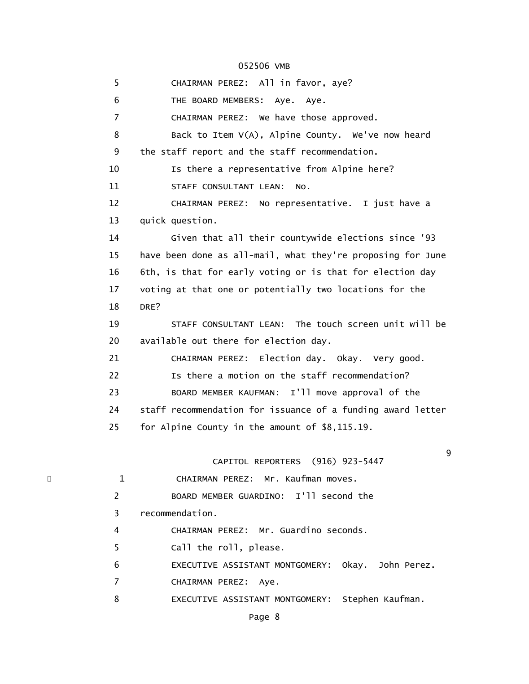5 CHAIRMAN PEREZ: All in favor, aye? 6 THE BOARD MEMBERS: Aye. Aye. 7 CHAIRMAN PEREZ: We have those approved. 8 Back to Item V(A), Alpine County. We've now heard 9 the staff report and the staff recommendation. 10 **Is there a representative from Alpine here?**  11 STAFF CONSULTANT LEAN: No. 12 CHAIRMAN PEREZ: No representative. I just have a 13 quick question. 14 Given that all their countywide elections since '93 15 have been done as all-mail, what they're proposing for June 16 6th, is that for early voting or is that for election day 17 voting at that one or potentially two locations for the 18 DRE? 19 STAFF CONSULTANT LEAN: The touch screen unit will be 20 available out there for election day. 21 CHAIRMAN PEREZ: Election day. Okay. Very good. 22 **Is there a motion on the staff recommendation?**  23 BOARD MEMBER KAUFMAN: I'll move approval of the 24 staff recommendation for issuance of a funding award letter 25 for Alpine County in the amount of \$8,115.19. en de la construction de la construction de la construction de la construction de la construction de la constr<br>1980 : le construction de la construction de la construction de la construction de la construction de la const CAPITOL REPORTERS (916) 923-5447 1 CHAIRMAN PEREZ: Mr. Kaufman moves. 2 BOARD MEMBER GUARDINO: I'll second the 3 recommendation. 4 CHAIRMAN PEREZ: Mr. Guardino seconds. 5 Call the roll, please. 6 EXECUTIVE ASSISTANT MONTGOMERY: Okay. John Perez. 7 CHAIRMAN PEREZ: Aye. 8 EXECUTIVE ASSISTANT MONTGOMERY: Stephen Kaufman.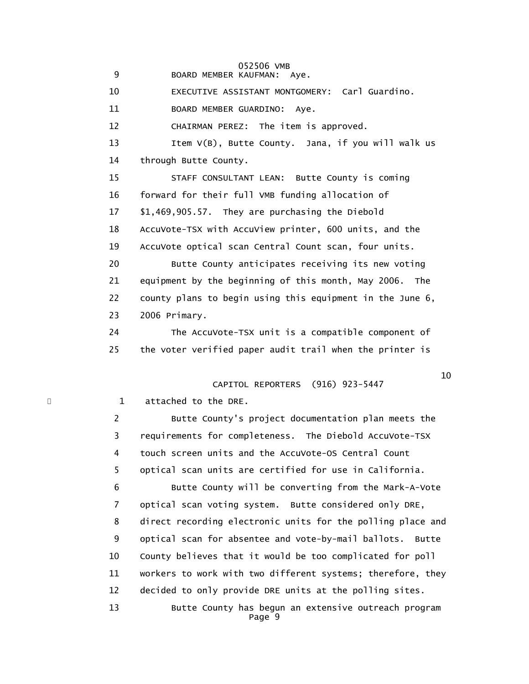9 BOARD MEMBER KAUFMAN: Aye.

10 EXECUTIVE ASSISTANT MONTGOMERY: Carl Guardino.

11 BOARD MEMBER GUARDINO: Aye.

12 CHAIRMAN PEREZ: The item is approved.

 13 Item V(B), Butte County. Jana, if you will walk us 14 through Butte County.

 15 STAFF CONSULTANT LEAN: Butte County is coming 16 forward for their full VMB funding allocation of 17 \$1,469,905.57. They are purchasing the Diebold 18 AccuVote-TSX with AccuView printer, 600 units, and the 19 AccuVote optical scan Central Count scan, four units. 20 Butte County anticipates receiving its new voting 21 equipment by the beginning of this month, May 2006. The 22 county plans to begin using this equipment in the June 6,

23 2006 Primary.

 24 The AccuVote-TSX unit is a compatible component of 25 the voter verified paper audit trail when the printer is

 $10$ 

# CAPITOL REPORTERS (916) 923-5447

\* 1 attached to the DRE.

 2 Butte County's project documentation plan meets the 3 requirements for completeness. The Diebold AccuVote-TSX 4 touch screen units and the AccuVote-OS Central Count 5 optical scan units are certified for use in California. 6 Butte County will be converting from the Mark-A-Vote 7 optical scan voting system. Butte considered only DRE, 8 direct recording electronic units for the polling place and 9 optical scan for absentee and vote-by-mail ballots. Butte 10 County believes that it would be too complicated for poll 11 workers to work with two different systems; therefore, they 12 decided to only provide DRE units at the polling sites. 13 Butte County has begun an extensive outreach program Page 9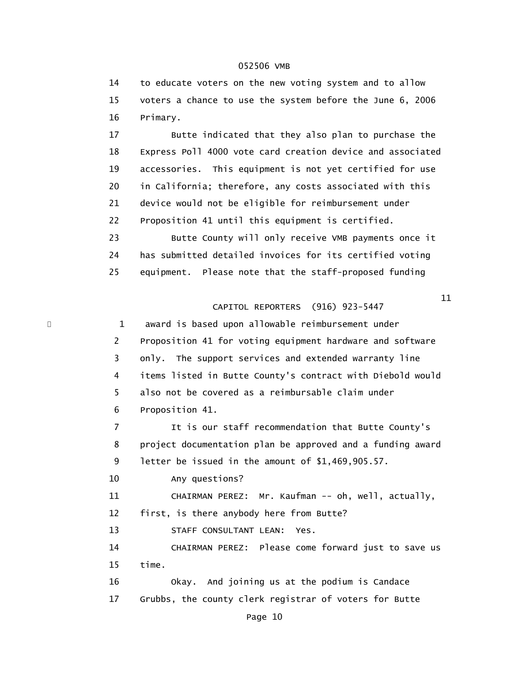14 to educate voters on the new voting system and to allow 15 voters a chance to use the system before the June 6, 2006 16 Primary.

 17 Butte indicated that they also plan to purchase the 18 Express Poll 4000 vote card creation device and associated 19 accessories. This equipment is not yet certified for use 20 in California; therefore, any costs associated with this 21 device would not be eligible for reimbursement under 22 Proposition 41 until this equipment is certified. 23 Butte County will only receive VMB payments once it 24 has submitted detailed invoices for its certified voting

25 equipment. Please note that the staff-proposed funding

 $11$ 

# CAPITOL REPORTERS (916) 923-5447

\* 1 award is based upon allowable reimbursement under 2 Proposition 41 for voting equipment hardware and software 3 only. The support services and extended warranty line 4 items listed in Butte County's contract with Diebold would 5 also not be covered as a reimbursable claim under 6 Proposition 41. 7 It is our staff recommendation that Butte County's 8 project documentation plan be approved and a funding award 9 letter be issued in the amount of \$1,469,905.57. 10 Any questions?

11 CHAIRMAN PEREZ: Mr. Kaufman -- oh, well, actually,

12 first, is there anybody here from Butte?

13 STAFF CONSULTANT LEAN: Yes.

 14 CHAIRMAN PEREZ: Please come forward just to save us 15 time.

 16 Okay. And joining us at the podium is Candace 17 Grubbs, the county clerk registrar of voters for Butte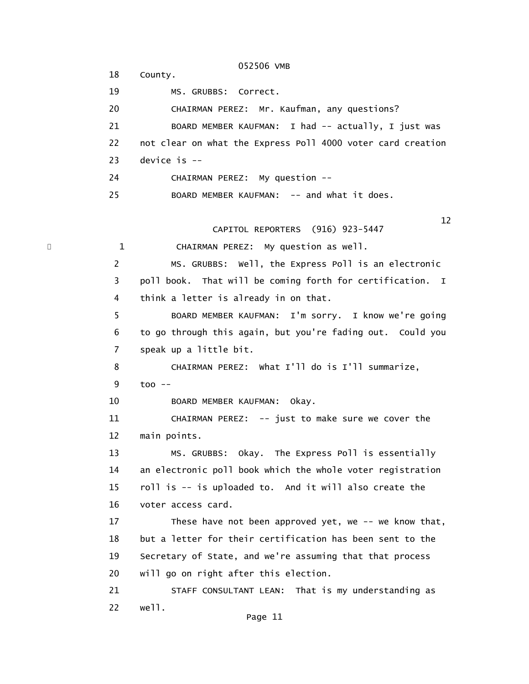052506 VMB 18 County. 19 MS. GRUBBS: Correct. 20 CHAIRMAN PEREZ: Mr. Kaufman, any questions? 21 BOARD MEMBER KAUFMAN: I had -- actually, I just was 22 not clear on what the Express Poll 4000 voter card creation 23 device is -- 24 CHAIRMAN PEREZ: My question -- 25 BOARD MEMBER KAUFMAN: -- and what it does.  $12$  CAPITOL REPORTERS (916) 923-5447 1 CHAIRMAN PEREZ: My question as well. 2 MS. GRUBBS: Well, the Express Poll is an electronic 3 poll book. That will be coming forth for certification. I 4 think a letter is already in on that. 5 BOARD MEMBER KAUFMAN: I'm sorry. I know we're going 6 to go through this again, but you're fading out. Could you 7 speak up a little bit. 8 CHAIRMAN PEREZ: What I'll do is I'll summarize, 9 too -- 10 BOARD MEMBER KAUFMAN: Okay. 11 CHAIRMAN PEREZ: -- just to make sure we cover the 12 main points. 13 MS. GRUBBS: Okay. The Express Poll is essentially 14 an electronic poll book which the whole voter registration 15 roll is -- is uploaded to. And it will also create the 16 voter access card. 17 These have not been approved yet, we -- we know that, 18 but a letter for their certification has been sent to the 19 Secretary of State, and we're assuming that that process 20 will go on right after this election. 21 STAFF CONSULTANT LEAN: That is my understanding as 22 well.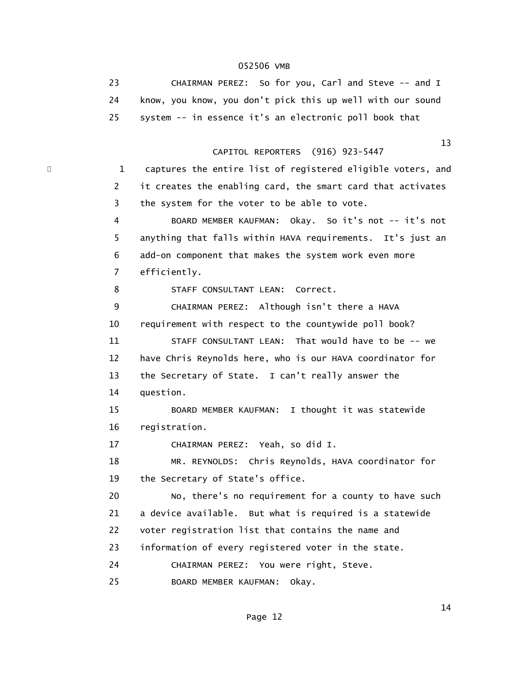| 23. | CHAIRMAN PEREZ: So for you, Carl and Steve -- and I        |
|-----|------------------------------------------------------------|
|     | know, you know, you don't pick this up well with our sound |
|     | system -- in essence it's an electronic poll book that     |

#### $13$ CAPITOL REPORTERS (916) 923-5447

\* 1 captures the entire list of registered eligible voters, and 2 it creates the enabling card, the smart card that activates 3 the system for the voter to be able to vote.

> 4 BOARD MEMBER KAUFMAN: Okay. So it's not -- it's not 5 anything that falls within HAVA requirements. It's just an 6 add-on component that makes the system work even more 7 efficiently.

8 STAFF CONSULTANT LEAN: Correct.

 9 CHAIRMAN PEREZ: Although isn't there a HAVA 10 requirement with respect to the countywide poll book? 11 STAFF CONSULTANT LEAN: That would have to be -- we 12 have Chris Reynolds here, who is our HAVA coordinator for 13 the Secretary of State. I can't really answer the 14 question.

 15 BOARD MEMBER KAUFMAN: I thought it was statewide 16 registration.

17 CHAIRMAN PEREZ: Yeah, so did I.

 18 MR. REYNOLDS: Chris Reynolds, HAVA coordinator for 19 the Secretary of State's office.

 20 No, there's no requirement for a county to have such 21 a device available. But what is required is a statewide 22 voter registration list that contains the name and 23 information of every registered voter in the state.

24 CHAIRMAN PEREZ: You were right, Steve.

25 BOARD MEMBER KAUFMAN: Okay.

 $14$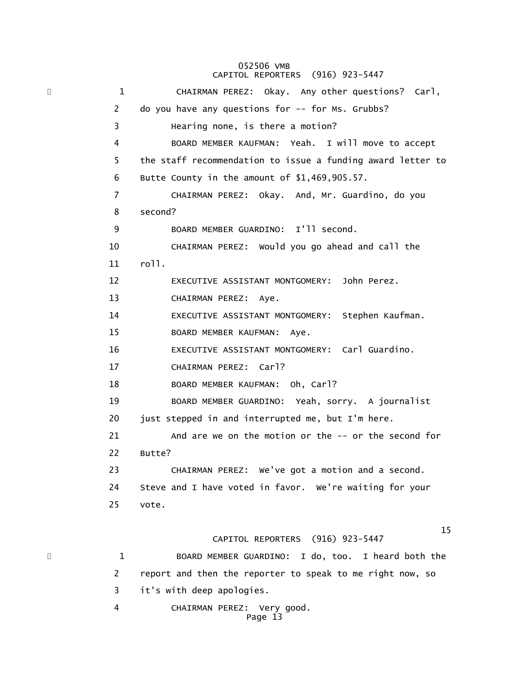#### 052506 VMB CAPITOL REPORTERS (916) 923-5447

\* 1 CHAIRMAN PEREZ: Okay. Any other questions? Carl, 2 do you have any questions for -- for Ms. Grubbs? 3 Hearing none, is there a motion? 4 BOARD MEMBER KAUFMAN: Yeah. I will move to accept 5 the staff recommendation to issue a funding award letter to 6 Butte County in the amount of \$1,469,905.57. 7 CHAIRMAN PEREZ: Okay. And, Mr. Guardino, do you 8 second? 9 BOARD MEMBER GUARDINO: I'll second. 10 CHAIRMAN PEREZ: Would you go ahead and call the 11 roll. 12 EXECUTIVE ASSISTANT MONTGOMERY: John Perez. 13 CHAIRMAN PEREZ: Aye. 14 EXECUTIVE ASSISTANT MONTGOMERY: Stephen Kaufman. 15 BOARD MEMBER KAUFMAN: Aye. 16 EXECUTIVE ASSISTANT MONTGOMERY: Carl Guardino. 17 CHAIRMAN PEREZ: Carl? 18 BOARD MEMBER KAUFMAN: Oh, Carl? 19 BOARD MEMBER GUARDINO: Yeah, sorry. A journalist 20 just stepped in and interrupted me, but I'm here. 21 And are we on the motion or the -- or the second for 22 Butte? 23 CHAIRMAN PEREZ: We've got a motion and a second. 24 Steve and I have voted in favor. We're waiting for your 25 vote.  $15$  CAPITOL REPORTERS (916) 923-5447 \* 1 BOARD MEMBER GUARDINO: I do, too. I heard both the 2 report and then the reporter to speak to me right now, so 3 it's with deep apologies. 4 CHAIRMAN PEREZ: Very good. Page 13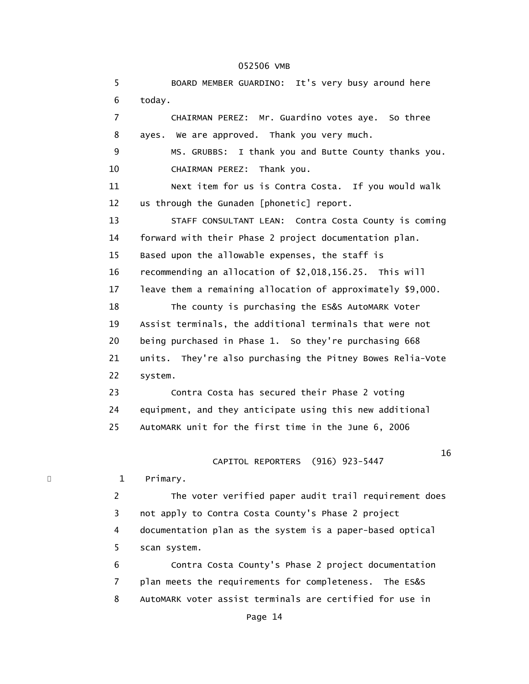5 BOARD MEMBER GUARDINO: It's very busy around here 6 today. 7 CHAIRMAN PEREZ: Mr. Guardino votes aye. So three 8 ayes. We are approved. Thank you very much. 9 MS. GRUBBS: I thank you and Butte County thanks you. 10 CHAIRMAN PEREZ: Thank you. 11 Next item for us is Contra Costa. If you would walk 12 us through the Gunaden [phonetic] report. 13 STAFF CONSULTANT LEAN: Contra Costa County is coming 14 forward with their Phase 2 project documentation plan. 15 Based upon the allowable expenses, the staff is 16 recommending an allocation of \$2,018,156.25. This will 17 leave them a remaining allocation of approximately \$9,000. 18 The county is purchasing the ES&S AutoMARK Voter 19 Assist terminals, the additional terminals that were not 20 being purchased in Phase 1. So they're purchasing 668 21 units. They're also purchasing the Pitney Bowes Relia-Vote 22 system. 23 Contra Costa has secured their Phase 2 voting 24 equipment, and they anticipate using this new additional 25 AutoMARK unit for the first time in the June 6, 2006  $16$  CAPITOL REPORTERS (916) 923-5447 1 Primary. 2 The voter verified paper audit trail requirement does 3 not apply to Contra Costa County's Phase 2 project 4 documentation plan as the system is a paper-based optical 5 scan system. 6 Contra Costa County's Phase 2 project documentation 7 plan meets the requirements for completeness. The ES&S 8 AutoMARK voter assist terminals are certified for use in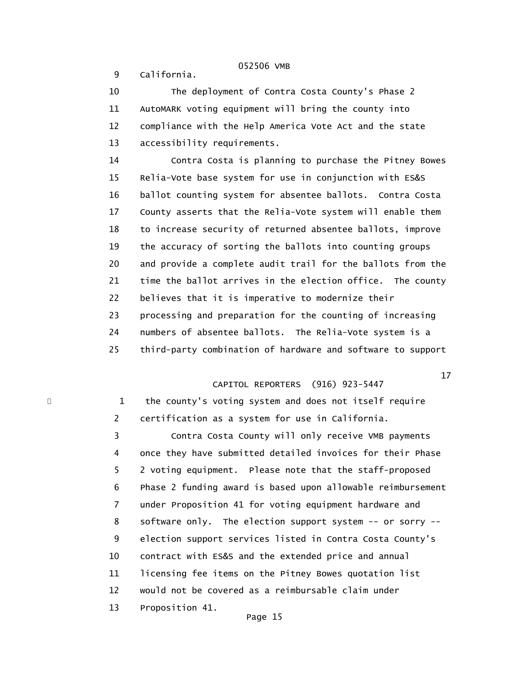9 California.

 10 The deployment of Contra Costa County's Phase 2 11 AutoMARK voting equipment will bring the county into 12 compliance with the Help America Vote Act and the state 13 accessibility requirements.

 14 Contra Costa is planning to purchase the Pitney Bowes 15 Relia-Vote base system for use in conjunction with ES&S 16 ballot counting system for absentee ballots. Contra Costa 17 County asserts that the Relia-Vote system will enable them 18 to increase security of returned absentee ballots, improve 19 the accuracy of sorting the ballots into counting groups 20 and provide a complete audit trail for the ballots from the 21 time the ballot arrives in the election office. The county 22 believes that it is imperative to modernize their 23 processing and preparation for the counting of increasing 24 numbers of absentee ballots. The Relia-Vote system is a 25 third-party combination of hardware and software to support

# CAPITOL REPORTERS (916) 923-5447

 $17$ 

1 the county's voting system and does not itself require 2 certification as a system for use in California. 3 Contra Costa County will only receive VMB payments 4 once they have submitted detailed invoices for their Phase 5 2 voting equipment. Please note that the staff-proposed 6 Phase 2 funding award is based upon allowable reimbursement 7 under Proposition 41 for voting equipment hardware and 8 software only. The election support system -- or sorry -- 9 election support services listed in Contra Costa County's 10 contract with ES&S and the extended price and annual 11 licensing fee items on the Pitney Bowes quotation list 12 would not be covered as a reimbursable claim under 13 Proposition 41.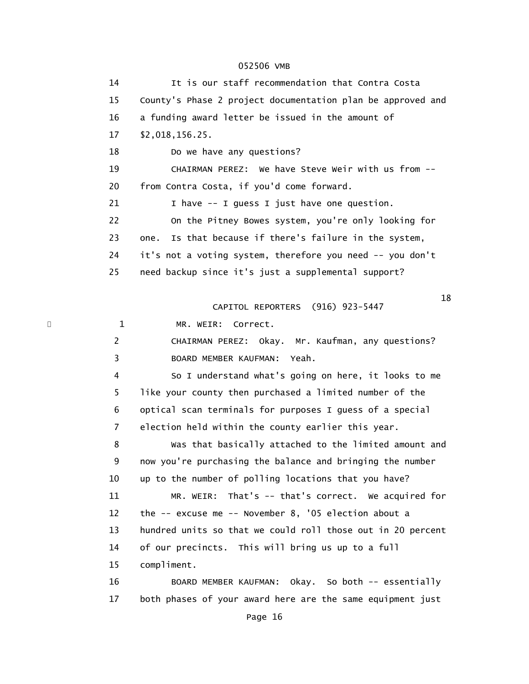14 It is our staff recommendation that Contra Costa 15 County's Phase 2 project documentation plan be approved and 16 a funding award letter be issued in the amount of 17 \$2,018,156.25. 18 Do we have any questions? 19 CHAIRMAN PEREZ: We have Steve Weir with us from -- 20 from Contra Costa, if you'd come forward. 21 1 have -- I quess I just have one question. 22 On the Pitney Bowes system, you're only looking for 23 one. Is that because if there's failure in the system, 24 it's not a voting system, therefore you need -- you don't 25 need backup since it's just a supplemental support?  $18$  CAPITOL REPORTERS (916) 923-5447 \* 1 MR. WEIR: Correct. 2 CHAIRMAN PEREZ: Okay. Mr. Kaufman, any questions? 3 BOARD MEMBER KAUFMAN: Yeah. 4 So I understand what's going on here, it looks to me 5 like your county then purchased a limited number of the 6 optical scan terminals for purposes I guess of a special 7 election held within the county earlier this year. 8 Was that basically attached to the limited amount and 9 now you're purchasing the balance and bringing the number 10 up to the number of polling locations that you have? 11 MR. WEIR: That's -- that's correct. We acquired for 12 the -- excuse me -- November 8, '05 election about a 13 hundred units so that we could roll those out in 20 percent 14 of our precincts. This will bring us up to a full 15 compliment. 16 BOARD MEMBER KAUFMAN: Okay. So both -- essentially 17 both phases of your award here are the same equipment just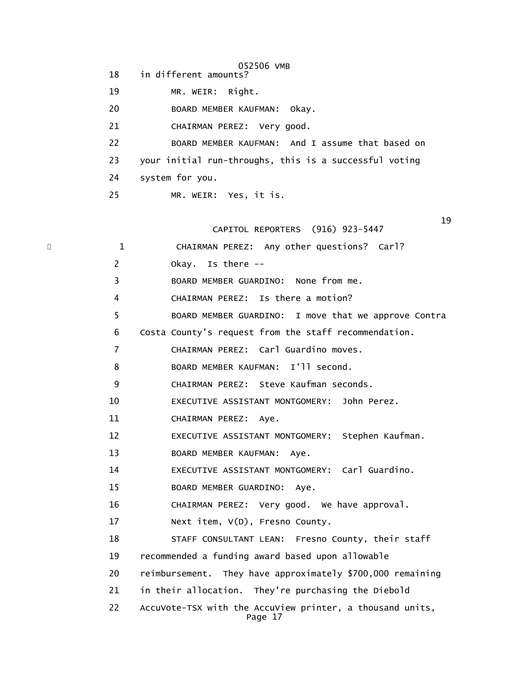052506 VMB 18 in different amounts? 19 MR. WEIR: Right. 20 BOARD MEMBER KAUFMAN: Okay. 21 CHAIRMAN PEREZ: Very good. 22 BOARD MEMBER KAUFMAN: And I assume that based on 23 your initial run-throughs, this is a successful voting 24 system for you. 25 MR. WEIR: Yes, it is.

 $19$ CAPITOL REPORTERS (916) 923-5447

| × | $\mathbf{1}$   | CHAIRMAN PEREZ: Any other questions? Carl?                           |
|---|----------------|----------------------------------------------------------------------|
|   | $\overline{2}$ | Okay. Is there --                                                    |
|   | 3              | BOARD MEMBER GUARDINO: None from me.                                 |
|   | 4              | CHAIRMAN PEREZ: Is there a motion?                                   |
|   | 5              | BOARD MEMBER GUARDINO: I move that we approve Contra                 |
|   | 6              | Costa County's request from the staff recommendation.                |
|   | $\overline{7}$ | CHAIRMAN PEREZ: Carl Guardino moves.                                 |
|   | 8              | BOARD MEMBER KAUFMAN: I'll second.                                   |
|   | 9              | CHAIRMAN PEREZ: Steve Kaufman seconds.                               |
|   | 10             | EXECUTIVE ASSISTANT MONTGOMERY: John Perez.                          |
|   | 11             | CHAIRMAN PEREZ: Aye.                                                 |
|   | 12             | EXECUTIVE ASSISTANT MONTGOMERY: Stephen Kaufman.                     |
|   | 13             | BOARD MEMBER KAUFMAN:<br>Aye.                                        |
|   | 14             | EXECUTIVE ASSISTANT MONTGOMERY: Carl Guardino.                       |
|   | 15             | BOARD MEMBER GUARDINO: Aye.                                          |
|   | 16             | CHAIRMAN PEREZ: Very good. We have approval.                         |
|   | 17             | Next item, V(D), Fresno County.                                      |
|   | 18             | STAFF CONSULTANT LEAN: Fresno County, their staff                    |
|   | 19             | recommended a funding award based upon allowable                     |
|   | 20             | reimbursement. They have approximately \$700,000 remaining           |
|   | 21             | in their allocation. They're purchasing the Diebold                  |
|   | 22             | AccuVote-TSX with the AccuView printer, a thousand units,<br>Page 17 |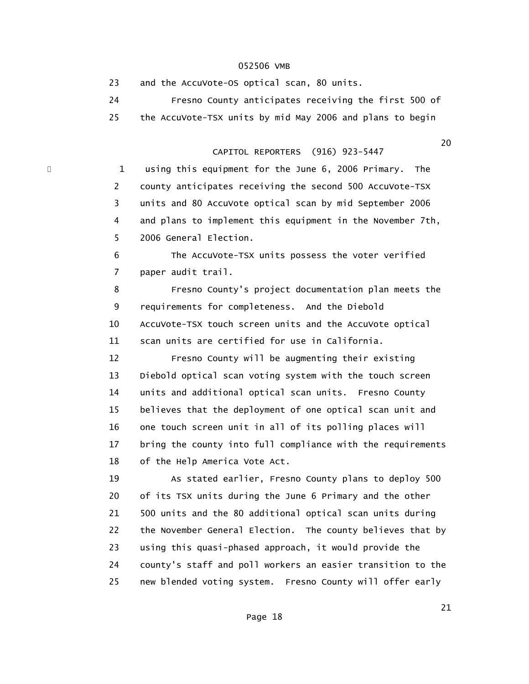23 and the AccuVote-OS optical scan, 80 units. 24 Fresno County anticipates receiving the first 500 of 25 the AccuVote-TSX units by mid May 2006 and plans to begin

# CAPITOL REPORTERS (916) 923-5447

1 using this equipment for the June 6, 2006 Primary. The 2 county anticipates receiving the second 500 AccuVote-TSX 3 units and 80 AccuVote optical scan by mid September 2006 4 and plans to implement this equipment in the November 7th, 5 2006 General Election.

 6 The AccuVote-TSX units possess the voter verified 7 paper audit trail.

 8 Fresno County's project documentation plan meets the 9 requirements for completeness. And the Diebold 10 AccuVote-TSX touch screen units and the AccuVote optical 11 scan units are certified for use in California.

 12 Fresno County will be augmenting their existing 13 Diebold optical scan voting system with the touch screen 14 units and additional optical scan units. Fresno County 15 believes that the deployment of one optical scan unit and 16 one touch screen unit in all of its polling places will 17 bring the county into full compliance with the requirements 18 of the Help America Vote Act.

 19 As stated earlier, Fresno County plans to deploy 500 20 of its TSX units during the June 6 Primary and the other 21 500 units and the 80 additional optical scan units during 22 the November General Election. The county believes that by 23 using this quasi-phased approach, it would provide the 24 county's staff and poll workers an easier transition to the 25 new blended voting system. Fresno County will offer early

 $20$ 

 $21$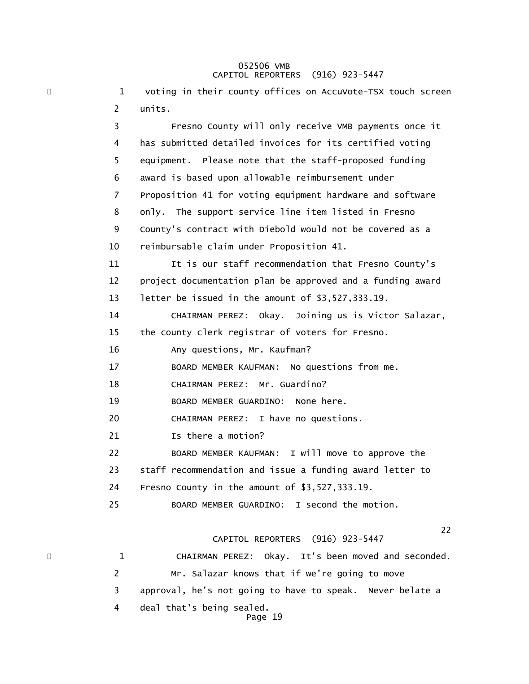### 052506 VMB CAPITOL REPORTERS (916) 923-5447

\* 1 voting in their county offices on AccuVote-TSX touch screen 2 units. 3 Fresno County will only receive VMB payments once it 4 has submitted detailed invoices for its certified voting 5 equipment. Please note that the staff-proposed funding 6 award is based upon allowable reimbursement under 7 Proposition 41 for voting equipment hardware and software 8 only. The support service line item listed in Fresno 9 County's contract with Diebold would not be covered as a 10 reimbursable claim under Proposition 41. 11 It is our staff recommendation that Fresno County's 12 project documentation plan be approved and a funding award 13 letter be issued in the amount of \$3,527,333.19. 14 CHAIRMAN PEREZ: Okay. Joining us is Victor Salazar, 15 the county clerk registrar of voters for Fresno. 16 Any questions, Mr. Kaufman? 17 BOARD MEMBER KAUFMAN: No questions from me. 18 CHAIRMAN PEREZ: Mr. Guardino? 19 BOARD MEMBER GUARDINO: None here. 20 CHAIRMAN PEREZ: I have no questions. 21 1s there a motion? 22 BOARD MEMBER KAUFMAN: I will move to approve the 23 staff recommendation and issue a funding award letter to 24 Fresno County in the amount of \$3,527,333.19. 25 BOARD MEMBER GUARDINO: I second the motion. 22<br>22 CAPITOL REPORTERS (916) 923-5447 \* 1 CHAIRMAN PEREZ: Okay. It's been moved and seconded. 2 Mr. Salazar knows that if we're going to move 3 approval, he's not going to have to speak. Never belate a

- 4 deal that's being sealed.
	- Page 19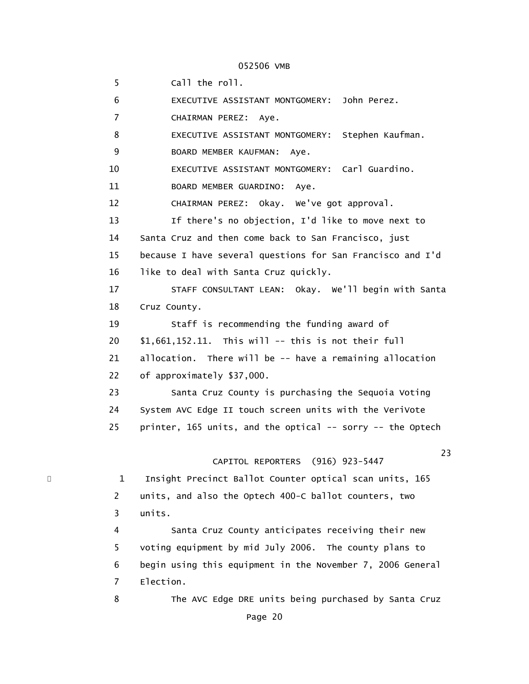5 Call the roll. 6 EXECUTIVE ASSISTANT MONTGOMERY: John Perez. 7 CHAIRMAN PEREZ: Aye. 8 EXECUTIVE ASSISTANT MONTGOMERY: Stephen Kaufman. 9 BOARD MEMBER KAUFMAN: Aye. 10 EXECUTIVE ASSISTANT MONTGOMERY: Carl Guardino. 11 BOARD MEMBER GUARDINO: Aye. 12 CHAIRMAN PEREZ: Okay. We've got approval. 13 If there's no objection, I'd like to move next to 14 Santa Cruz and then come back to San Francisco, just 15 because I have several questions for San Francisco and I'd 16 like to deal with Santa Cruz quickly. 17 STAFF CONSULTANT LEAN: Okay. We'll begin with Santa 18 Cruz County. 19 Staff is recommending the funding award of 20 \$1,661,152.11. This will -- this is not their full 21 allocation. There will be -- have a remaining allocation 22 of approximately \$37,000. 23 Santa Cruz County is purchasing the Sequoia Voting 24 System AVC Edge II touch screen units with the VeriVote 25 printer, 165 units, and the optical -- sorry -- the Optech 23 CAPITOL REPORTERS (916) 923-5447 1 Insight Precinct Ballot Counter optical scan units, 165 2 units, and also the Optech 400-C ballot counters, two 3 units. 4 Santa Cruz County anticipates receiving their new 5 voting equipment by mid July 2006. The county plans to 6 begin using this equipment in the November 7, 2006 General 7 Election. 8 The AVC Edge DRE units being purchased by Santa Cruz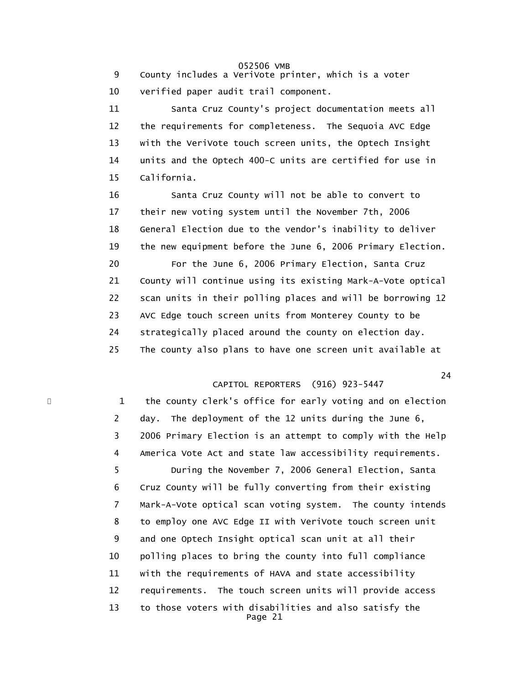9 County includes a VeriVote printer, which is a voter 10 verified paper audit trail component.

 11 Santa Cruz County's project documentation meets all 12 the requirements for completeness. The Sequoia AVC Edge 13 with the VeriVote touch screen units, the Optech Insight 14 units and the Optech 400-C units are certified for use in 15 California.

 16 Santa Cruz County will not be able to convert to 17 their new voting system until the November 7th, 2006 18 General Election due to the vendor's inability to deliver 19 the new equipment before the June 6, 2006 Primary Election. 20 For the June 6, 2006 Primary Election, Santa Cruz 21 County will continue using its existing Mark-A-Vote optical 22 scan units in their polling places and will be borrowing 12 23 AVC Edge touch screen units from Monterey County to be 24 strategically placed around the county on election day. 25 The county also plans to have one screen unit available at

24 and 24

# CAPITOL REPORTERS (916) 923-5447

1 the county clerk's office for early voting and on election 2 day. The deployment of the 12 units during the June 6, 3 2006 Primary Election is an attempt to comply with the Help 4 America Vote Act and state law accessibility requirements. 5 During the November 7, 2006 General Election, Santa 6 Cruz County will be fully converting from their existing 7 Mark-A-Vote optical scan voting system. The county intends 8 to employ one AVC Edge II with VeriVote touch screen unit 9 and one Optech Insight optical scan unit at all their 10 polling places to bring the county into full compliance 11 with the requirements of HAVA and state accessibility 12 requirements. The touch screen units will provide access 13 to those voters with disabilities and also satisfy the Page 21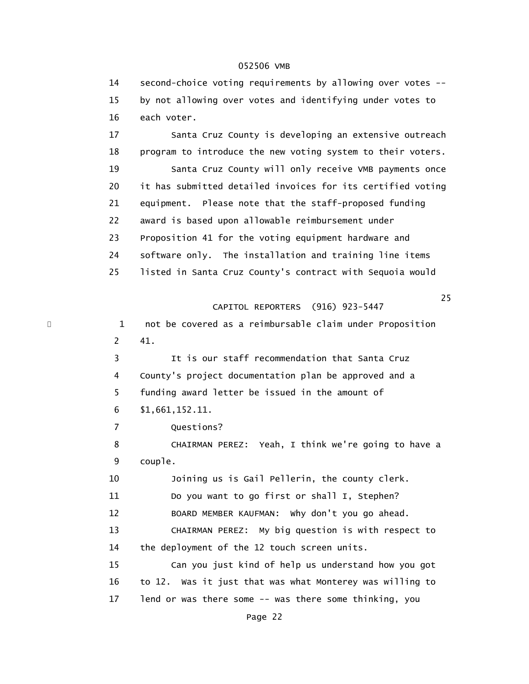14 second-choice voting requirements by allowing over votes -- 15 by not allowing over votes and identifying under votes to 16 each voter.

 17 Santa Cruz County is developing an extensive outreach 18 program to introduce the new voting system to their voters. 19 Santa Cruz County will only receive VMB payments once 20 it has submitted detailed invoices for its certified voting 21 equipment. Please note that the staff-proposed funding 22 award is based upon allowable reimbursement under 23 Proposition 41 for the voting equipment hardware and 24 software only. The installation and training line items 25 listed in Santa Cruz County's contract with Sequoia would

#### 25 and 25 and 25 and 25 and 25 and 25 and 25 and 25 and 25 and 25 and 25 CAPITOL REPORTERS (916) 923-5447

\* 1 not be covered as a reimbursable claim under Proposition 2 41. 3 It is our staff recommendation that Santa Cruz 4 County's project documentation plan be approved and a 5 funding award letter be issued in the amount of 6 \$1,661,152.11. 7 Questions? 8 CHAIRMAN PEREZ: Yeah, I think we're going to have a 9 couple. 10 Joining us is Gail Pellerin, the county clerk. 11 Do you want to go first or shall I, Stephen? 12 BOARD MEMBER KAUFMAN: Why don't you go ahead. 13 CHAIRMAN PEREZ: My big question is with respect to 14 the deployment of the 12 touch screen units. 15 Can you just kind of help us understand how you got 16 to 12. Was it just that was what Monterey was willing to 17 lend or was there some -- was there some thinking, you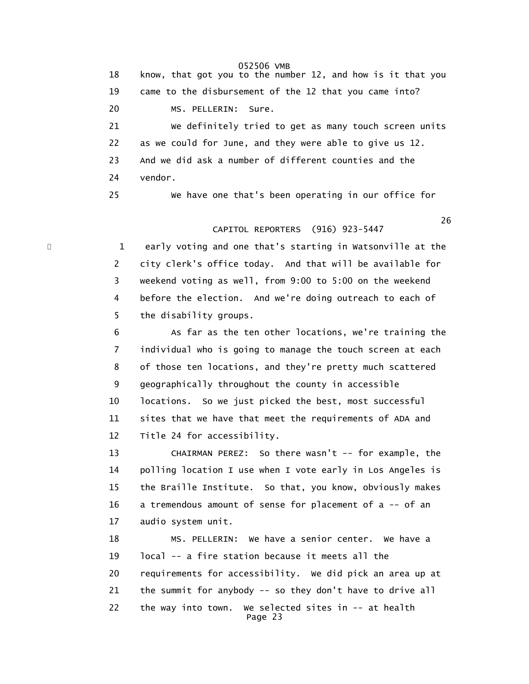18 know, that got you to the number 12, and how is it that you 19 came to the disbursement of the 12 that you came into? 20 MS. PELLERIN: Sure. 21 We definitely tried to get as many touch screen units 22 as we could for June, and they were able to give us 12. 23 And we did ask a number of different counties and the 24 vendor. 25 We have one that's been operating in our office for

 $26$ CAPITOL REPORTERS (916) 923-5447

> 1 early voting and one that's starting in Watsonville at the 2 city clerk's office today. And that will be available for 3 weekend voting as well, from 9:00 to 5:00 on the weekend 4 before the election. And we're doing outreach to each of 5 the disability groups.

 6 As far as the ten other locations, we're training the 7 individual who is going to manage the touch screen at each 8 of those ten locations, and they're pretty much scattered 9 geographically throughout the county in accessible 10 locations. So we just picked the best, most successful 11 sites that we have that meet the requirements of ADA and 12 Title 24 for accessibility.

 13 CHAIRMAN PEREZ: So there wasn't -- for example, the 14 polling location I use when I vote early in Los Angeles is 15 the Braille Institute. So that, you know, obviously makes 16 a tremendous amount of sense for placement of a -- of an 17 audio system unit.

 18 MS. PELLERIN: We have a senior center. We have a 19 local -- a fire station because it meets all the 20 requirements for accessibility. We did pick an area up at 21 the summit for anybody -- so they don't have to drive all 22 the way into town. We selected sites in -- at health Page 23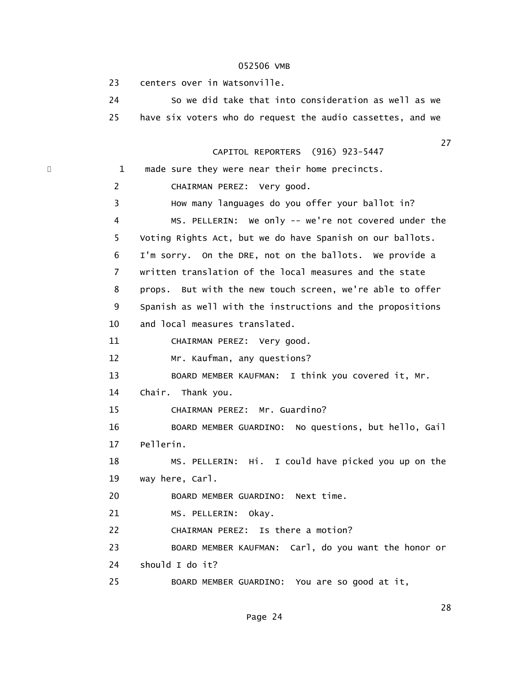23 centers over in Watsonville.

 24 So we did take that into consideration as well as we 25 have six voters who do request the audio cassettes, and we

27 and 27 and 27 and 27 and 27 and 27 and 27 and 27 and 27 and 27 and 27 and 27 CAPITOL REPORTERS (916) 923-5447

\* 1 made sure they were near their home precincts. 2 CHAIRMAN PEREZ: Very good. 3 How many languages do you offer your ballot in? 4 MS. PELLERIN: We only -- we're not covered under the 5 Voting Rights Act, but we do have Spanish on our ballots. 6 I'm sorry. On the DRE, not on the ballots. We provide a 7 written translation of the local measures and the state 8 props. But with the new touch screen, we're able to offer 9 Spanish as well with the instructions and the propositions 10 and local measures translated. 11 CHAIRMAN PEREZ: Very good. 12 Mr. Kaufman, any questions? 13 BOARD MEMBER KAUFMAN: I think you covered it, Mr. 14 Chair. Thank you. 15 CHAIRMAN PEREZ: Mr. Guardino? 16 BOARD MEMBER GUARDINO: No questions, but hello, Gail 17 Pellerin. 18 MS. PELLERIN: Hi. I could have picked you up on the 19 way here, Carl. 20 BOARD MEMBER GUARDINO: Next time. 21 MS. PELLERIN: Okay. 22 CHAIRMAN PEREZ: Is there a motion? 23 BOARD MEMBER KAUFMAN: Carl, do you want the honor or 24 should I do it? 25 BOARD MEMBER GUARDINO: You are so good at it,

28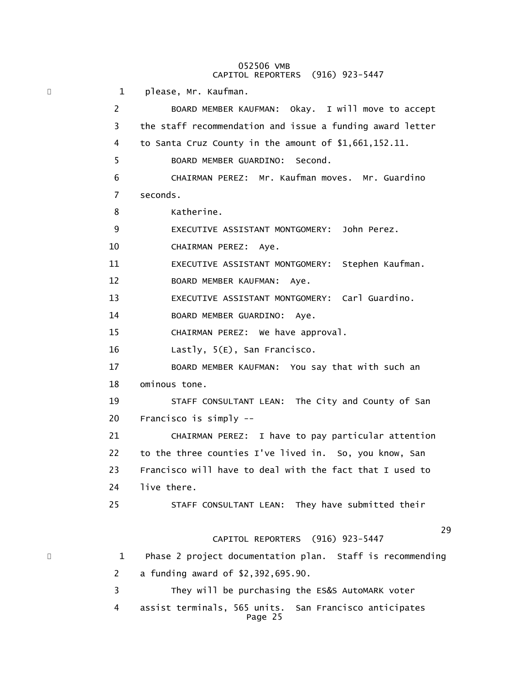#### 052506 VMB CAPITOL REPORTERS (916) 923-5447

\* 1 please, Mr. Kaufman. 2 BOARD MEMBER KAUFMAN: Okay. I will move to accept 3 the staff recommendation and issue a funding award letter 4 to Santa Cruz County in the amount of \$1,661,152.11. 5 BOARD MEMBER GUARDINO: Second. 6 CHAIRMAN PEREZ: Mr. Kaufman moves. Mr. Guardino 7 seconds. 8 Katherine. 9 EXECUTIVE ASSISTANT MONTGOMERY: John Perez. 10 CHAIRMAN PEREZ: Aye. 11 EXECUTIVE ASSISTANT MONTGOMERY: Stephen Kaufman. 12 BOARD MEMBER KAUFMAN: Aye. 13 EXECUTIVE ASSISTANT MONTGOMERY: Carl Guardino. 14 BOARD MEMBER GUARDINO: Aye. 15 CHAIRMAN PEREZ: We have approval. 16 Lastly, 5(E), San Francisco. 17 BOARD MEMBER KAUFMAN: You say that with such an 18 ominous tone. 19 STAFF CONSULTANT LEAN: The City and County of San 20 Francisco is simply -- 21 CHAIRMAN PEREZ: I have to pay particular attention 22 to the three counties I've lived in. So, you know, San 23 Francisco will have to deal with the fact that I used to 24 live there. 25 STAFF CONSULTANT LEAN: They have submitted their  $29$  CAPITOL REPORTERS (916) 923-5447 \* 1 Phase 2 project documentation plan. Staff is recommending 2 a funding award of \$2,392,695.90. 3 They will be purchasing the ES&S AutoMARK voter 4 assist terminals, 565 units. San Francisco anticipates Page 25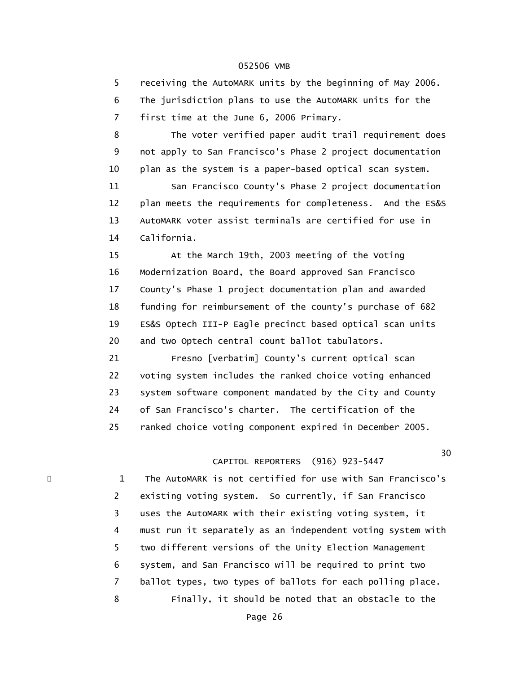5 receiving the AutoMARK units by the beginning of May 2006. 6 The jurisdiction plans to use the AutoMARK units for the 7 first time at the June 6, 2006 Primary.

 8 The voter verified paper audit trail requirement does 9 not apply to San Francisco's Phase 2 project documentation 10 plan as the system is a paper-based optical scan system. 11 San Francisco County's Phase 2 project documentation

 12 plan meets the requirements for completeness. And the ES&S 13 AutoMARK voter assist terminals are certified for use in 14 California.

 15 At the March 19th, 2003 meeting of the Voting 16 Modernization Board, the Board approved San Francisco 17 County's Phase 1 project documentation plan and awarded 18 funding for reimbursement of the county's purchase of 682 19 ES&S Optech III-P Eagle precinct based optical scan units 20 and two Optech central count ballot tabulators.

 21 Fresno [verbatim] County's current optical scan 22 voting system includes the ranked choice voting enhanced 23 system software component mandated by the City and County 24 of San Francisco's charter. The certification of the 25 ranked choice voting component expired in December 2005.

#### $30<sup>1</sup>$ CAPITOL REPORTERS (916) 923-5447

1 The AutoMARK is not certified for use with San Francisco's 2 existing voting system. So currently, if San Francisco 3 uses the AutoMARK with their existing voting system, it 4 must run it separately as an independent voting system with 5 two different versions of the Unity Election Management 6 system, and San Francisco will be required to print two 7 ballot types, two types of ballots for each polling place. 8 Finally, it should be noted that an obstacle to the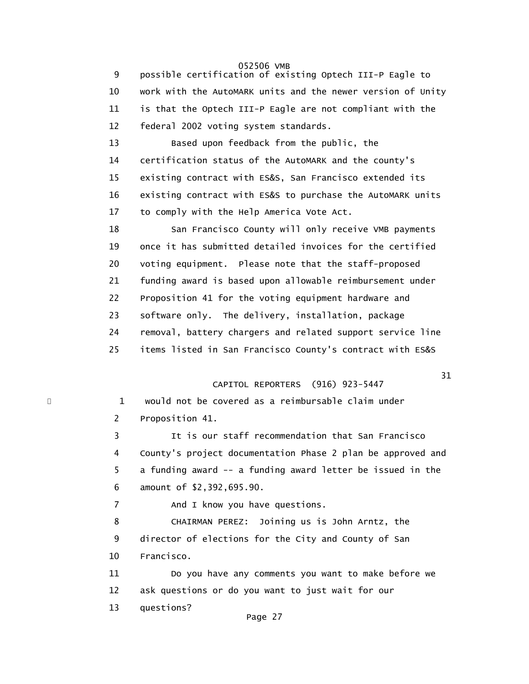9 possible certification of existing Optech III-P Eagle to 10 work with the AutoMARK units and the newer version of Unity 11 is that the Optech III-P Eagle are not compliant with the 12 federal 2002 voting system standards.

 13 Based upon feedback from the public, the 14 certification status of the AutoMARK and the county's 15 existing contract with ES&S, San Francisco extended its 16 existing contract with ES&S to purchase the AutoMARK units 17 to comply with the Help America Vote Act.

18 San Francisco County will only receive VMB payments 19 once it has submitted detailed invoices for the certified 20 voting equipment. Please note that the staff-proposed 21 funding award is based upon allowable reimbursement under 22 Proposition 41 for the voting equipment hardware and 23 software only. The delivery, installation, package 24 removal, battery chargers and related support service line 25 items listed in San Francisco County's contract with ES&S

# CAPITOL REPORTERS (916) 923-5447

\* 1 would not be covered as a reimbursable claim under 2 Proposition 41.

> 3 It is our staff recommendation that San Francisco 4 County's project documentation Phase 2 plan be approved and 5 a funding award -- a funding award letter be issued in the 6 amount of \$2,392,695.90.

7 And I know you have questions.

 8 CHAIRMAN PEREZ: Joining us is John Arntz, the 9 director of elections for the City and County of San 10 Francisco.

 11 Do you have any comments you want to make before we 12 ask questions or do you want to just wait for our 13 questions?

# $31$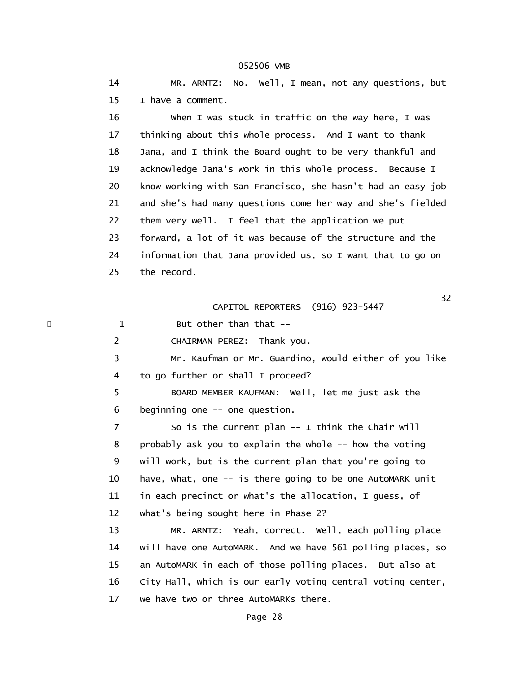14 MR. ARNTZ: No. Well, I mean, not any questions, but 15 I have a comment. 16 When I was stuck in traffic on the way here, I was 17 thinking about this whole process. And I want to thank 18 Jana, and I think the Board ought to be very thankful and 19 acknowledge Jana's work in this whole process. Because I 20 know working with San Francisco, she hasn't had an easy job 21 and she's had many questions come her way and she's fielded 22 them very well. I feel that the application we put 23 forward, a lot of it was because of the structure and the 24 information that Jana provided us, so I want that to go on 25 the record.  $32$  CAPITOL REPORTERS (916) 923-5447 1 But other than that -- 2 CHAIRMAN PEREZ: Thank you. 3 Mr. Kaufman or Mr. Guardino, would either of you like 4 to go further or shall I proceed? 5 BOARD MEMBER KAUFMAN: Well, let me just ask the 6 beginning one -- one question. 7 So is the current plan -- I think the Chair will 8 probably ask you to explain the whole -- how the voting 9 will work, but is the current plan that you're going to 10 have, what, one -- is there going to be one AutoMARK unit 11 in each precinct or what's the allocation, I guess, of

12 what's being sought here in Phase 2?

 13 MR. ARNTZ: Yeah, correct. Well, each polling place 14 will have one AutoMARK. And we have 561 polling places, so 15 an AutoMARK in each of those polling places. But also at 16 City Hall, which is our early voting central voting center, 17 we have two or three AutoMARKs there.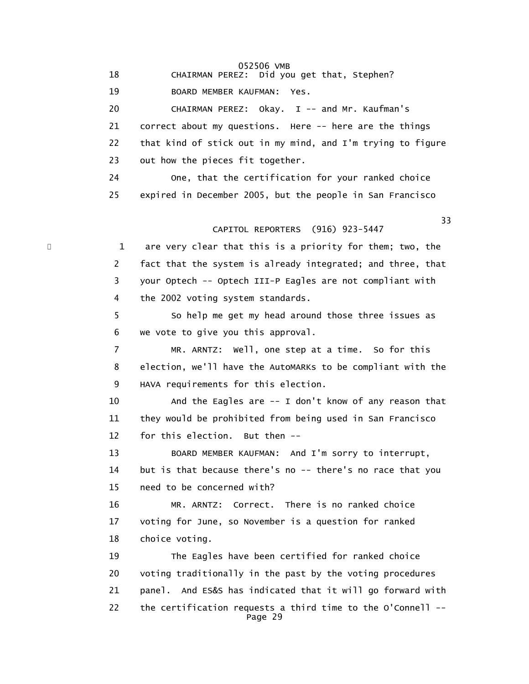052506 VMB 18 CHAIRMAN PEREZ: Did you get that, Stephen? 19 BOARD MEMBER KAUFMAN: Yes. 20 CHAIRMAN PEREZ: Okay. I -- and Mr. Kaufman's 21 correct about my questions. Here -- here are the things 22 that kind of stick out in my mind, and I'm trying to figure 23 out how the pieces fit together. 24 One, that the certification for your ranked choice 25 expired in December 2005, but the people in San Francisco 33 CAPITOL REPORTERS (916) 923-5447 1 are very clear that this is a priority for them; two, the 2 fact that the system is already integrated; and three, that 3 your Optech -- Optech III-P Eagles are not compliant with 4 the 2002 voting system standards. 5 So help me get my head around those three issues as 6 we vote to give you this approval. 7 MR. ARNTZ: Well, one step at a time. So for this 8 election, we'll have the AutoMARKs to be compliant with the 9 HAVA requirements for this election. 10 And the Eagles are -- I don't know of any reason that 11 they would be prohibited from being used in San Francisco 12 for this election. But then -- 13 BOARD MEMBER KAUFMAN: And I'm sorry to interrupt, 14 but is that because there's no -- there's no race that you 15 need to be concerned with? 16 MR. ARNTZ: Correct. There is no ranked choice 17 voting for June, so November is a question for ranked 18 choice voting. 19 The Eagles have been certified for ranked choice 20 voting traditionally in the past by the voting procedures 21 panel. And ES&S has indicated that it will go forward with 22 the certification requests a third time to the O'Connell -- Page 29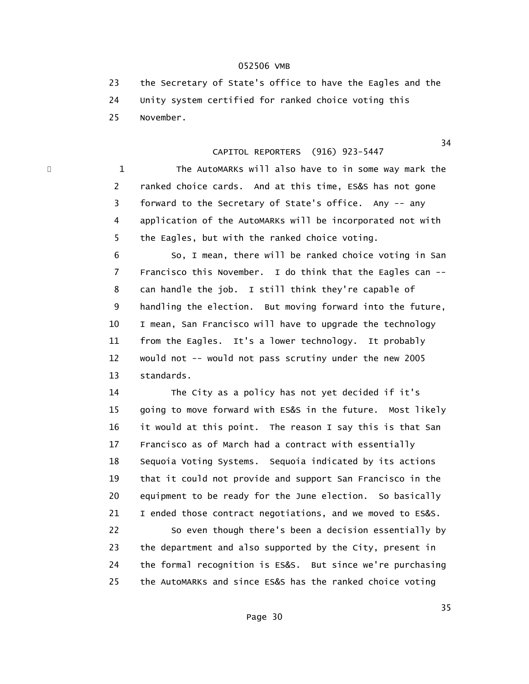23 the Secretary of State's office to have the Eagles and the 24 Unity system certified for ranked choice voting this 25 November.

# CAPITOL REPORTERS (916) 923-5447

1 The AutoMARKs will also have to in some way mark the 2 ranked choice cards. And at this time, ES&S has not gone 3 forward to the Secretary of State's office. Any -- any 4 application of the AutoMARKs will be incorporated not with 5 the Eagles, but with the ranked choice voting.

 6 So, I mean, there will be ranked choice voting in San 7 Francisco this November. I do think that the Eagles can -- 8 can handle the job. I still think they're capable of 9 handling the election. But moving forward into the future, 10 I mean, San Francisco will have to upgrade the technology 11 from the Eagles. It's a lower technology. It probably 12 would not -- would not pass scrutiny under the new 2005 13 standards.

 14 The City as a policy has not yet decided if it's 15 going to move forward with ES&S in the future. Most likely 16 it would at this point. The reason I say this is that San 17 Francisco as of March had a contract with essentially 18 Sequoia Voting Systems. Sequoia indicated by its actions 19 that it could not provide and support San Francisco in the 20 equipment to be ready for the June election. So basically 21 I ended those contract negotiations, and we moved to ES&S.

 22 So even though there's been a decision essentially by 23 the department and also supported by the City, present in 24 the formal recognition is ES&S. But since we're purchasing 25 the AutoMARKs and since ES&S has the ranked choice voting

 $34$ 

<u>35 September 2005 September 2005 September 2005 September 2005 September 2005 September 2005 September 2005 S</u>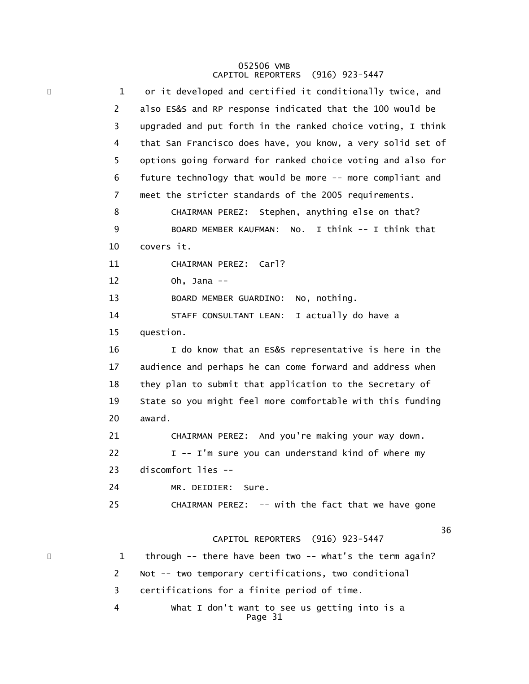#### 052506 VMB CAPITOL REPORTERS (916) 923-5447

| × | 1              | or it developed and certified it conditionally twice, and   |
|---|----------------|-------------------------------------------------------------|
|   | $\overline{c}$ | also ES&S and RP response indicated that the 100 would be   |
|   | 3              | upgraded and put forth in the ranked choice voting, I think |
|   | 4              | that San Francisco does have, you know, a very solid set of |
|   | 5              | options going forward for ranked choice voting and also for |
|   | 6              | future technology that would be more -- more compliant and  |
|   | 7              | meet the stricter standards of the 2005 requirements.       |
|   | 8              | CHAIRMAN PEREZ: Stephen, anything else on that?             |
|   | 9              | BOARD MEMBER KAUFMAN: No. I think -- I think that           |
|   | 10             | covers it.                                                  |
|   | 11             | CHAIRMAN PEREZ: Carl?                                       |
|   | 12             | Oh, Jana $-$                                                |
|   | 13             | No, nothing.<br>BOARD MEMBER GUARDINO:                      |
|   | 14             | I actually do have a<br>STAFF CONSULTANT LEAN:              |
|   | 15             | question.                                                   |
|   | 16             | I do know that an ES&S representative is here in the        |
|   | 17             | audience and perhaps he can come forward and address when   |
|   | 18             | they plan to submit that application to the Secretary of    |
|   | 19             | State so you might feel more comfortable with this funding  |
|   | 20             | award.                                                      |
|   | 21             | CHAIRMAN PEREZ: And you're making your way down.            |
|   | 22             | I -- I'm sure you can understand kind of where my           |
|   | 23             | discomfort lies --                                          |
|   | 24             | MR. DEIDIER: Sure.                                          |
|   | 25             | CHAIRMAN PEREZ: -- with the fact that we have gone          |
|   |                | 36                                                          |
|   |                | CAPITOL REPORTERS (916) 923-5447                            |
|   | 1              | through -- there have been two -- what's the term again?    |
|   | 2              | Not -- two temporary certifications, two conditional        |
|   | 3              | certifications for a finite period of time.                 |
|   | 4              | What I don't want to see us getting into is a<br>Page 31    |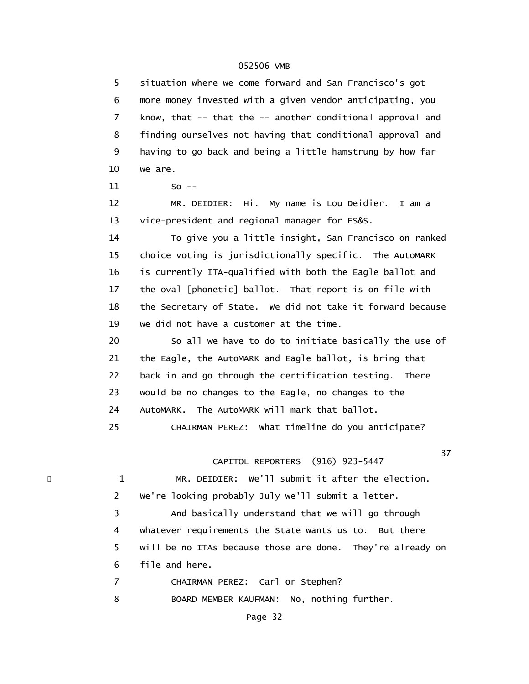5 situation where we come forward and San Francisco's got 6 more money invested with a given vendor anticipating, you 7 know, that -- that the -- another conditional approval and 8 finding ourselves not having that conditional approval and 9 having to go back and being a little hamstrung by how far 10 we are. 11 So -- 12 MR. DEIDIER: Hi. My name is Lou Deidier. I am a 13 vice-president and regional manager for ES&S. 14 To give you a little insight, San Francisco on ranked 15 choice voting is jurisdictionally specific. The AutoMARK 16 is currently ITA-qualified with both the Eagle ballot and 17 the oval [phonetic] ballot. That report is on file with 18 the Secretary of State. We did not take it forward because 19 we did not have a customer at the time. 20 So all we have to do to initiate basically the use of 21 the Eagle, the AutoMARK and Eagle ballot, is bring that 22 back in and go through the certification testing. There 23 would be no changes to the Eagle, no changes to the 24 AutoMARK. The AutoMARK will mark that ballot. 25 CHAIRMAN PEREZ: What timeline do you anticipate? 37 and 37 and 37 and 37 and 37 and 37 and 37 and 37 and 37 and 37 and 37 and 37 CAPITOL REPORTERS (916) 923-5447 1 MR. DEIDIER: We'll submit it after the election. 2 We're looking probably July we'll submit a letter. 3 And basically understand that we will go through 4 whatever requirements the State wants us to. But there 5 will be no ITAs because those are done. They're already on 6 file and here. 7 CHAIRMAN PEREZ: Carl or Stephen? 8 BOARD MEMBER KAUFMAN: No, nothing further.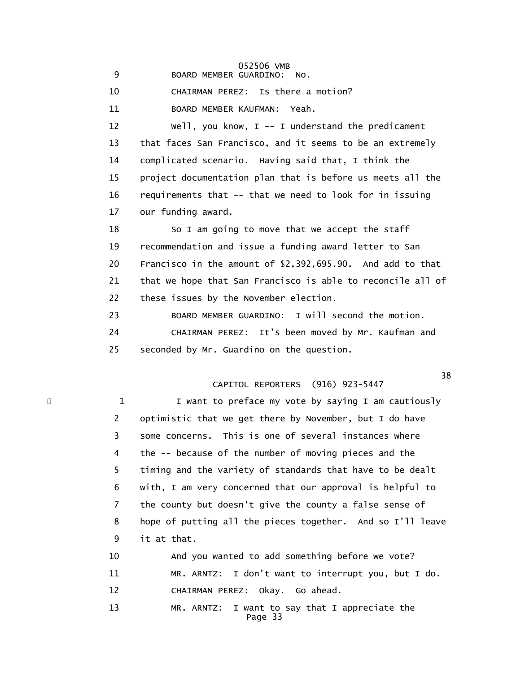052506 VMB 9 BOARD MEMBER GUARDINO: No.

10 CHAIRMAN PEREZ: Is there a motion?

11 BOARD MEMBER KAUFMAN: Yeah.

 12 Well, you know, I -- I understand the predicament 13 that faces San Francisco, and it seems to be an extremely 14 complicated scenario. Having said that, I think the 15 project documentation plan that is before us meets all the 16 requirements that -- that we need to look for in issuing 17 our funding award.

18 So I am going to move that we accept the staff 19 recommendation and issue a funding award letter to San 20 Francisco in the amount of \$2,392,695.90. And add to that 21 that we hope that San Francisco is able to reconcile all of 22 these issues by the November election.

 23 BOARD MEMBER GUARDINO: I will second the motion. 24 CHAIRMAN PEREZ: It's been moved by Mr. Kaufman and 25 seconded by Mr. Guardino on the question.

# CAPITOL REPORTERS (916) 923-5447

\* 1 1 I want to preface my vote by saying I am cautiously 2 optimistic that we get there by November, but I do have 3 some concerns. This is one of several instances where 4 the -- because of the number of moving pieces and the 5 timing and the variety of standards that have to be dealt 6 with, I am very concerned that our approval is helpful to 7 the county but doesn't give the county a false sense of 8 hope of putting all the pieces together. And so I'll leave 9 it at that.

> 10 And you wanted to add something before we vote? 11 MR. ARNTZ: I don't want to interrupt you, but I do. 12 CHAIRMAN PEREZ: Okay. Go ahead.

 13 MR. ARNTZ: I want to say that I appreciate the Page 33

and the state of the state of the state of the state of the state of the state of the state of the state of th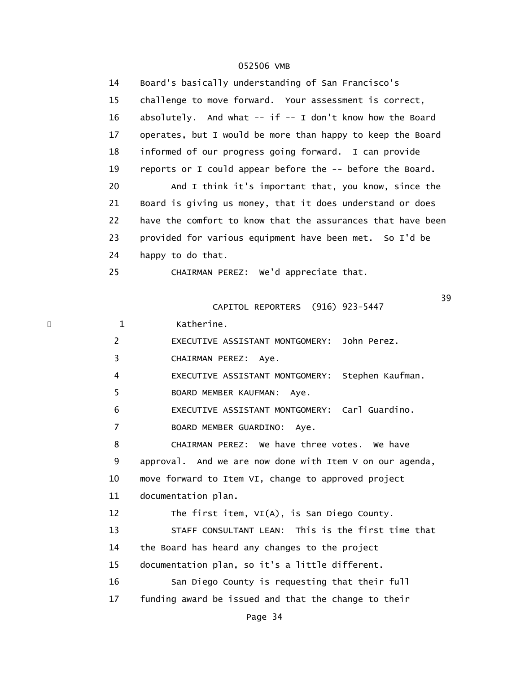| 14           | Board's basically understanding of San Francisco's           |
|--------------|--------------------------------------------------------------|
| 15           | challenge to move forward. Your assessment is correct,       |
| 16           | absolutely. And what $--$ if $--$ I don't know how the Board |
| 17           | operates, but I would be more than happy to keep the Board   |
| 18           | informed of our progress going forward. I can provide        |
| 19           | reports or I could appear before the -- before the Board.    |
| 20           | And I think it's important that, you know, since the         |
| 21           | Board is giving us money, that it does understand or does    |
| 22           | have the comfort to know that the assurances that have been  |
| 23           | provided for various equipment have been met. So I'd be      |
| 24           | happy to do that.                                            |
| 25           | CHAIRMAN PEREZ: We'd appreciate that.                        |
|              | 39                                                           |
|              | CAPITOL REPORTERS (916) 923-5447                             |
| $\mathbf{1}$ | Katherine.                                                   |
| 2            | EXECUTIVE ASSISTANT MONTGOMERY: John Perez.                  |
| 3            | CHAIRMAN PEREZ: Aye.                                         |
| 4            | EXECUTIVE ASSISTANT MONTGOMERY: Stephen Kaufman.             |
| 5            | BOARD MEMBER KAUFMAN:<br>Aye.                                |
| 6            | EXECUTIVE ASSISTANT MONTGOMERY: Carl Guardino.               |
| 7            | BOARD MEMBER GUARDINO: Aye.                                  |
| 8            | CHAIRMAN PEREZ: We have three votes. We have                 |
| 9            | approval. And we are now done with Item V on our agenda,     |
| 10           | move forward to Item VI, change to approved project          |
| 11           | documentation plan.                                          |
| 12           | The first item, $VI(A)$ , is San Diego County.               |
| 13           | STAFF CONSULTANT LEAN: This is the first time that           |
| 14           | the Board has heard any changes to the project               |
| 15           | documentation plan, so it's a little different.              |
| 16           | San Diego County is requesting that their full               |
| 17           | funding award be issued and that the change to their         |
|              |                                                              |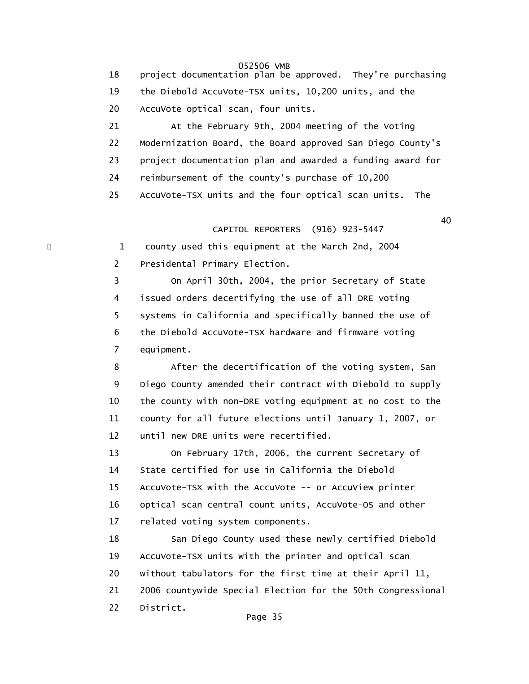18 project documentation plan be approved. They're purchasing 19 the Diebold AccuVote-TSX units, 10,200 units, and the 20 AccuVote optical scan, four units.

 21 At the February 9th, 2004 meeting of the Voting 22 Modernization Board, the Board approved San Diego County's 23 project documentation plan and awarded a funding award for 24 reimbursement of the county's purchase of 10,200 25 AccuVote-TSX units and the four optical scan units. The

 $40<sup>40</sup>$ CAPITOL REPORTERS (916) 923-5447

1 county used this equipment at the March 2nd, 2004 2 Presidental Primary Election.

 3 On April 30th, 2004, the prior Secretary of State 4 issued orders decertifying the use of all DRE voting 5 systems in California and specifically banned the use of 6 the Diebold AccuVote-TSX hardware and firmware voting 7 equipment.

 8 After the decertification of the voting system, San 9 Diego County amended their contract with Diebold to supply 10 the county with non-DRE voting equipment at no cost to the 11 county for all future elections until January 1, 2007, or 12 until new DRE units were recertified.

 13 On February 17th, 2006, the current Secretary of 14 State certified for use in California the Diebold 15 AccuVote-TSX with the AccuVote -- or AccuView printer 16 optical scan central count units, AccuVote-OS and other 17 related voting system components.

 18 San Diego County used these newly certified Diebold 19 AccuVote-TSX units with the printer and optical scan 20 without tabulators for the first time at their April 11, 21 2006 countywide Special Election for the 50th Congressional 22 District.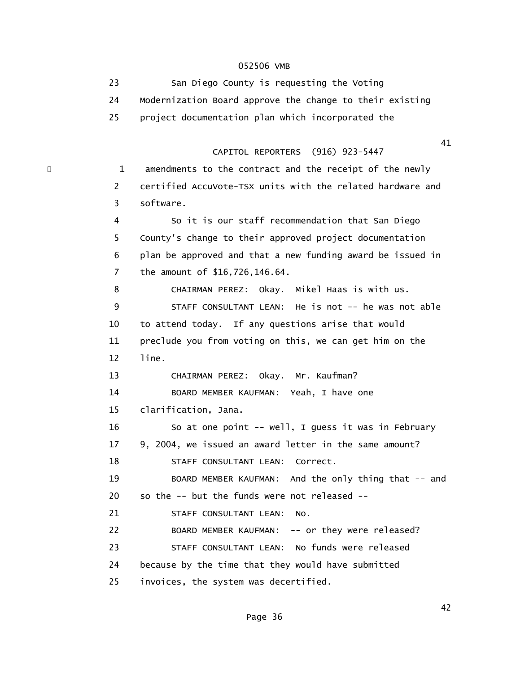23 San Diego County is requesting the Voting 24 Modernization Board approve the change to their existing 25 project documentation plan which incorporated the 41 CAPITOL REPORTERS (916) 923-5447 \* 1 amendments to the contract and the receipt of the newly 2 certified AccuVote-TSX units with the related hardware and 3 software. 4 So it is our staff recommendation that San Diego 5 County's change to their approved project documentation 6 plan be approved and that a new funding award be issued in 7 the amount of \$16,726,146.64. 8 CHAIRMAN PEREZ: Okay. Mikel Haas is with us. 9 STAFF CONSULTANT LEAN: He is not -- he was not able 10 to attend today. If any questions arise that would 11 preclude you from voting on this, we can get him on the 12 line. 13 CHAIRMAN PEREZ: Okay. Mr. Kaufman? 14 BOARD MEMBER KAUFMAN: Yeah, I have one 15 clarification, Jana. 16 So at one point -- well, I guess it was in February 17 9, 2004, we issued an award letter in the same amount? 18 STAFF CONSULTANT LEAN: Correct. 19 BOARD MEMBER KAUFMAN: And the only thing that -- and 20 so the -- but the funds were not released -- 21 STAFF CONSULTANT LEAN: No. 22 BOARD MEMBER KAUFMAN: -- or they were released? 23 STAFF CONSULTANT LEAN: No funds were released 24 because by the time that they would have submitted 25 invoices, the system was decertified.

 $42$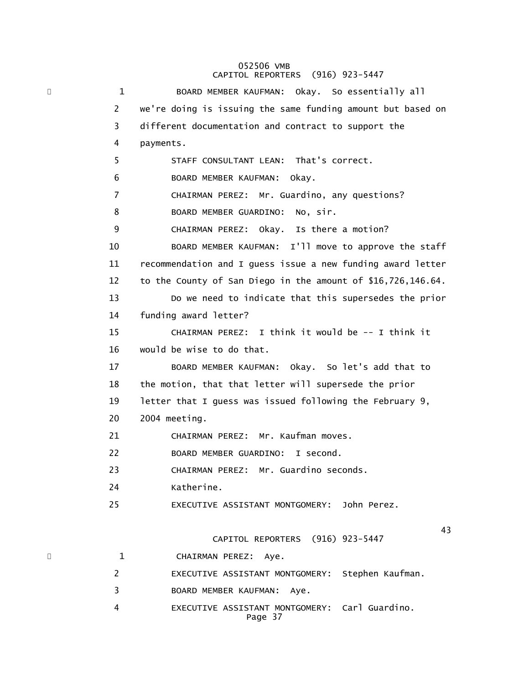## 052506 VMB CAPITOL REPORTERS (916) 923-5447

\* 1 BOARD MEMBER KAUFMAN: Okay. So essentially all 2 we're doing is issuing the same funding amount but based on 3 different documentation and contract to support the 4 payments. 5 STAFF CONSULTANT LEAN: That's correct. 6 BOARD MEMBER KAUFMAN: Okay. 7 CHAIRMAN PEREZ: Mr. Guardino, any questions? 8 BOARD MEMBER GUARDINO: No, sir. 9 CHAIRMAN PEREZ: Okay. Is there a motion? 10 BOARD MEMBER KAUFMAN: I'll move to approve the staff 11 recommendation and I guess issue a new funding award letter 12 to the County of San Diego in the amount of \$16,726,146.64. 13 Do we need to indicate that this supersedes the prior 14 funding award letter? 15 CHAIRMAN PEREZ: I think it would be -- I think it 16 would be wise to do that. 17 BOARD MEMBER KAUFMAN: Okay. So let's add that to 18 the motion, that that letter will supersede the prior 19 letter that I guess was issued following the February 9, 20 2004 meeting. 21 CHAIRMAN PEREZ: Mr. Kaufman moves. 22 BOARD MEMBER GUARDINO: I second. 23 CHAIRMAN PEREZ: Mr. Guardino seconds. 24 Katherine. 25 EXECUTIVE ASSISTANT MONTGOMERY: John Perez. 43 CAPITOL REPORTERS (916) 923-5447 \* 1 CHAIRMAN PEREZ: Aye. 2 EXECUTIVE ASSISTANT MONTGOMERY: Stephen Kaufman. 3 BOARD MEMBER KAUFMAN: Aye. 4 EXECUTIVE ASSISTANT MONTGOMERY: Carl Guardino. Page 37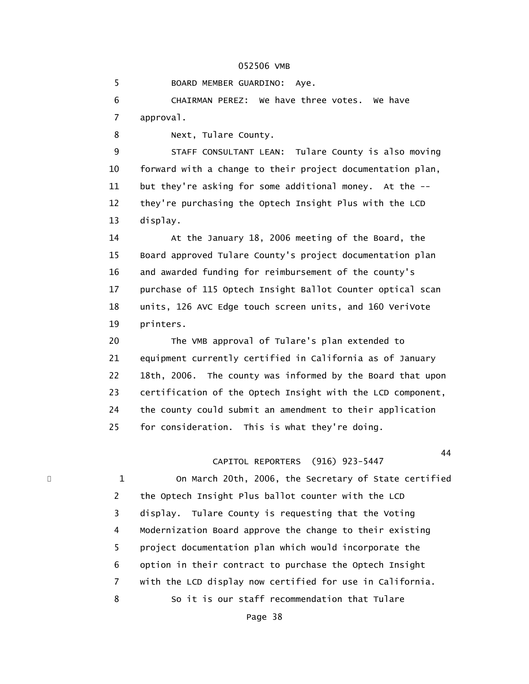5 BOARD MEMBER GUARDINO: Aye.

 6 CHAIRMAN PEREZ: We have three votes. We have 7 approval.

8 Next, Tulare County.

 9 STAFF CONSULTANT LEAN: Tulare County is also moving 10 forward with a change to their project documentation plan, 11 but they're asking for some additional money. At the -- 12 they're purchasing the Optech Insight Plus with the LCD 13 display.

 14 At the January 18, 2006 meeting of the Board, the 15 Board approved Tulare County's project documentation plan 16 and awarded funding for reimbursement of the county's 17 purchase of 115 Optech Insight Ballot Counter optical scan 18 units, 126 AVC Edge touch screen units, and 160 VeriVote 19 printers.

 20 The VMB approval of Tulare's plan extended to 21 equipment currently certified in California as of January 22 18th, 2006. The county was informed by the Board that upon 23 certification of the Optech Insight with the LCD component, 24 the county could submit an amendment to their application 25 for consideration. This is what they're doing.

#### 44 CAPITOL REPORTERS (916) 923-5447

1 On March 20th, 2006, the Secretary of State certified 2 the Optech Insight Plus ballot counter with the LCD 3 display. Tulare County is requesting that the Voting 4 Modernization Board approve the change to their existing 5 project documentation plan which would incorporate the 6 option in their contract to purchase the Optech Insight 7 with the LCD display now certified for use in California. 8 So it is our staff recommendation that Tulare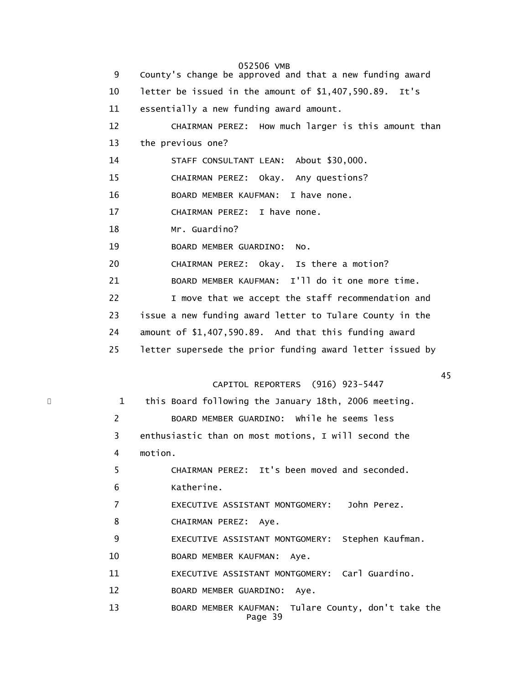052506 VMB 9 County's change be approved and that a new funding award 10 letter be issued in the amount of \$1,407,590.89. It's 11 essentially a new funding award amount. 12 CHAIRMAN PEREZ: How much larger is this amount than 13 the previous one? 14 STAFF CONSULTANT LEAN: About \$30,000. 15 CHAIRMAN PEREZ: Okay. Any questions? 16 BOARD MEMBER KAUFMAN: I have none. 17 CHAIRMAN PEREZ: I have none. 18 Mr. Guardino? 19 BOARD MEMBER GUARDINO: No. 20 CHAIRMAN PEREZ: Okay. Is there a motion? 21 BOARD MEMBER KAUFMAN: I'll do it one more time. 22 I move that we accept the staff recommendation and 23 issue a new funding award letter to Tulare County in the 24 amount of \$1,407,590.89. And that this funding award 25 letter supersede the prior funding award letter issued by  $\overline{45}$  CAPITOL REPORTERS (916) 923-5447 \* 1 this Board following the January 18th, 2006 meeting. 2 BOARD MEMBER GUARDINO: While he seems less 3 enthusiastic than on most motions, I will second the 4 motion. 5 CHAIRMAN PEREZ: It's been moved and seconded. 6 Katherine. 7 EXECUTIVE ASSISTANT MONTGOMERY: John Perez. 8 CHAIRMAN PEREZ: Aye. 9 EXECUTIVE ASSISTANT MONTGOMERY: Stephen Kaufman. 10 BOARD MEMBER KAUFMAN: Aye. 11 EXECUTIVE ASSISTANT MONTGOMERY: Carl Guardino.

12 BOARD MEMBER GUARDINO: Aye.

 13 BOARD MEMBER KAUFMAN: Tulare County, don't take the Page 39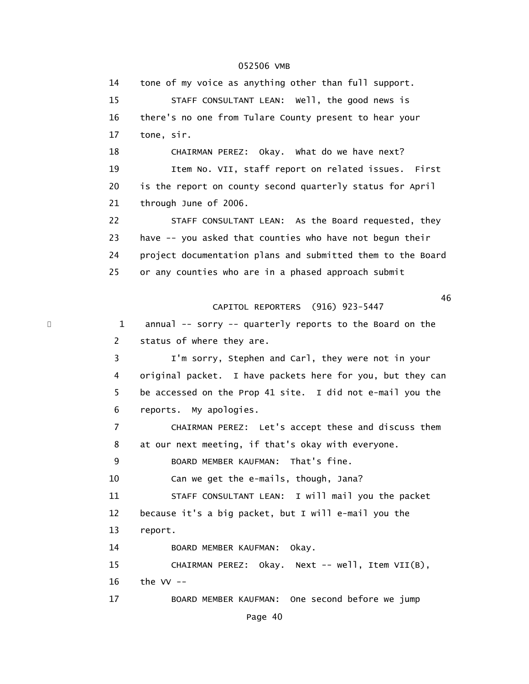14 tone of my voice as anything other than full support. 15 STAFF CONSULTANT LEAN: Well, the good news is 16 there's no one from Tulare County present to hear your 17 tone, sir. 18 CHAIRMAN PEREZ: Okay. What do we have next? 19 Item No. VII, staff report on related issues. First 20 is the report on county second quarterly status for April 21 through June of 2006. 22 STAFF CONSULTANT LEAN: As the Board requested, they 23 have -- you asked that counties who have not begun their 24 project documentation plans and submitted them to the Board 25 or any counties who are in a phased approach submit  $\sim$  46 CAPITOL REPORTERS (916) 923-5447 \* 1 annual -- sorry -- quarterly reports to the Board on the 2 status of where they are. 3 I'm sorry, Stephen and Carl, they were not in your 4 original packet. I have packets here for you, but they can 5 be accessed on the Prop 41 site. I did not e-mail you the 6 reports. My apologies. 7 CHAIRMAN PEREZ: Let's accept these and discuss them 8 at our next meeting, if that's okay with everyone. 9 BOARD MEMBER KAUFMAN: That's fine. 10 Can we get the e-mails, though, Jana? 11 STAFF CONSULTANT LEAN: I will mail you the packet 12 because it's a big packet, but I will e-mail you the 13 report. 14 BOARD MEMBER KAUFMAN: Okay. 15 CHAIRMAN PEREZ: Okay. Next -- well, Item VII(B), 16 the VV -- 17 BOARD MEMBER KAUFMAN: One second before we jump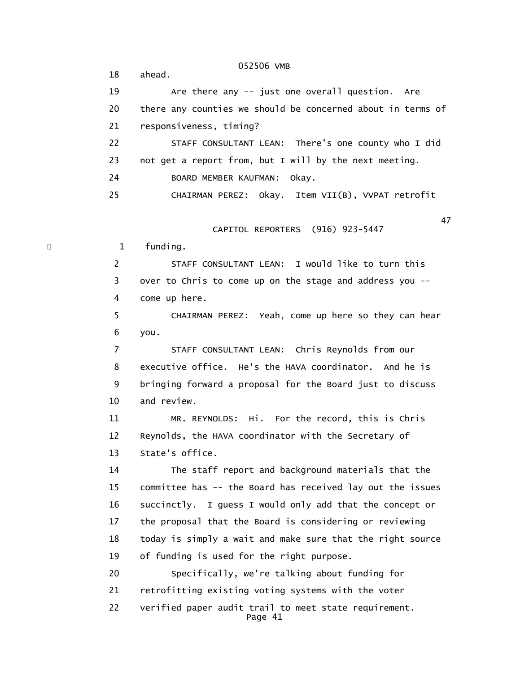052506 VMB 18 ahead. 19 Are there any -- just one overall question. Are 20 there any counties we should be concerned about in terms of 21 responsiveness, timing? 22 STAFF CONSULTANT LEAN: There's one county who I did 23 not get a report from, but I will by the next meeting. 24 BOARD MEMBER KAUFMAN: Okay. 25 CHAIRMAN PEREZ: Okay. Item VII(B), VVPAT retrofit  $47$  CAPITOL REPORTERS (916) 923-5447 \* 1 funding. 2 STAFF CONSULTANT LEAN: I would like to turn this 3 over to Chris to come up on the stage and address you -- 4 come up here. 5 CHAIRMAN PEREZ: Yeah, come up here so they can hear 6 you. 7 STAFF CONSULTANT LEAN: Chris Reynolds from our 8 executive office. He's the HAVA coordinator. And he is 9 bringing forward a proposal for the Board just to discuss 10 and review. 11 MR. REYNOLDS: Hi. For the record, this is Chris 12 Reynolds, the HAVA coordinator with the Secretary of 13 State's office. 14 The staff report and background materials that the 15 committee has -- the Board has received lay out the issues 16 succinctly. I guess I would only add that the concept or 17 the proposal that the Board is considering or reviewing 18 today is simply a wait and make sure that the right source 19 of funding is used for the right purpose. 20 Specifically, we're talking about funding for 21 retrofitting existing voting systems with the voter 22 verified paper audit trail to meet state requirement. Page 41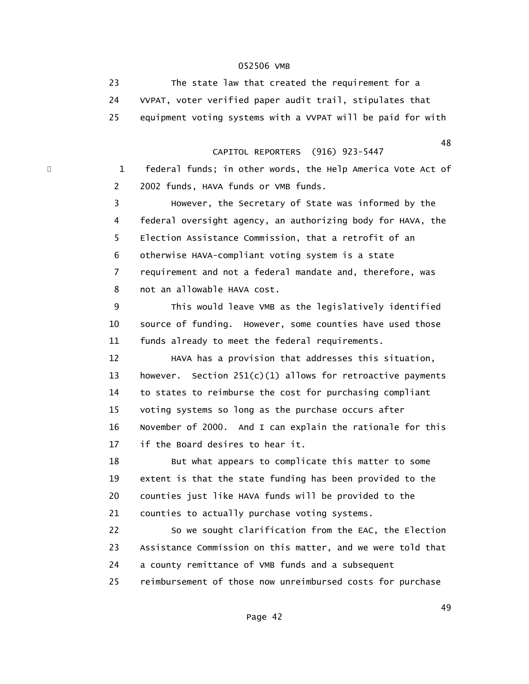23 The state law that created the requirement for a 24 VVPAT, voter verified paper audit trail, stipulates that 25 equipment voting systems with a VVPAT will be paid for with

 48 CAPITOL REPORTERS (916) 923-5447

> 1 federal funds; in other words, the Help America Vote Act of 2 2002 funds, HAVA funds or VMB funds.

 3 However, the Secretary of State was informed by the 4 federal oversight agency, an authorizing body for HAVA, the 5 Election Assistance Commission, that a retrofit of an 6 otherwise HAVA-compliant voting system is a state 7 requirement and not a federal mandate and, therefore, was 8 not an allowable HAVA cost.

 9 This would leave VMB as the legislatively identified 10 source of funding. However, some counties have used those 11 funds already to meet the federal requirements.

 12 HAVA has a provision that addresses this situation, 13 however. Section 251(c)(1) allows for retroactive payments 14 to states to reimburse the cost for purchasing compliant 15 voting systems so long as the purchase occurs after 16 November of 2000. And I can explain the rationale for this 17 if the Board desires to hear it.

 18 But what appears to complicate this matter to some 19 extent is that the state funding has been provided to the 20 counties just like HAVA funds will be provided to the 21 counties to actually purchase voting systems.

 22 So we sought clarification from the EAC, the Election 23 Assistance Commission on this matter, and we were told that 24 a county remittance of VMB funds and a subsequent 25 reimbursement of those now unreimbursed costs for purchase

 $\overline{49}$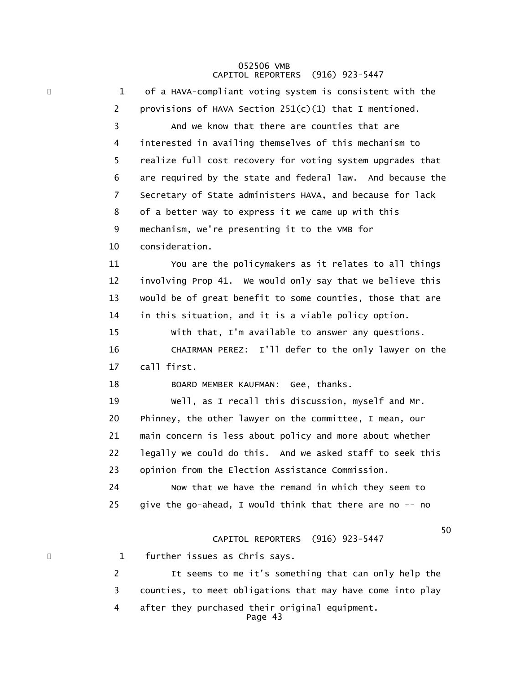# 052506 VMB CAPITOL REPORTERS (916) 923-5447

\* 1 of a HAVA-compliant voting system is consistent with the 2 provisions of HAVA Section  $251(c)(1)$  that I mentioned. 3 And we know that there are counties that are 4 interested in availing themselves of this mechanism to 5 realize full cost recovery for voting system upgrades that 6 are required by the state and federal law. And because the 7 Secretary of State administers HAVA, and because for lack 8 of a better way to express it we came up with this 9 mechanism, we're presenting it to the VMB for 10 consideration. 11 You are the policymakers as it relates to all things 12 involving Prop 41. We would only say that we believe this 13 would be of great benefit to some counties, those that are 14 in this situation, and it is a viable policy option. 15 With that, I'm available to answer any questions. 16 CHAIRMAN PEREZ: I'll defer to the only lawyer on the 17 call first. 18 BOARD MEMBER KAUFMAN: Gee, thanks. 19 Well, as I recall this discussion, myself and Mr. 20 Phinney, the other lawyer on the committee, I mean, our 21 main concern is less about policy and more about whether 22 legally we could do this. And we asked staff to seek this 23 opinion from the Election Assistance Commission. 24 Now that we have the remand in which they seem to 25 give the go-ahead, I would think that there are no -- no  $50<sub>50</sub>$  CAPITOL REPORTERS (916) 923-5447 1 further issues as Chris says. 2 It seems to me it's something that can only help the 3 counties, to meet obligations that may have come into play 4 after they purchased their original equipment.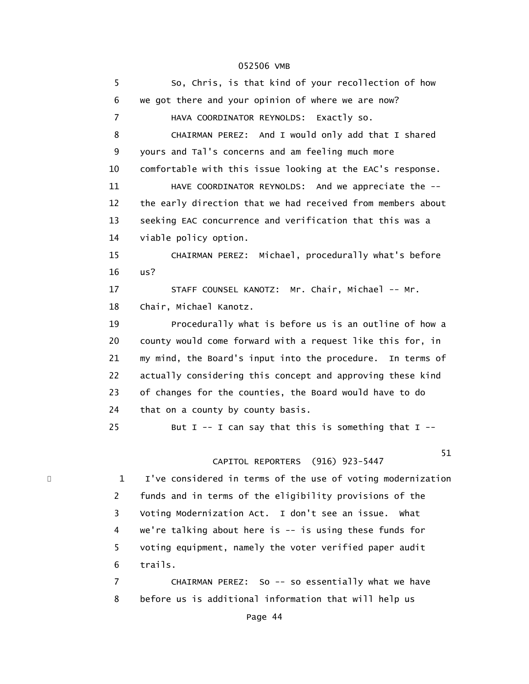5 So, Chris, is that kind of your recollection of how 6 we got there and your opinion of where we are now? 7 HAVA COORDINATOR REYNOLDS: Exactly so. 8 CHAIRMAN PEREZ: And I would only add that I shared 9 yours and Tal's concerns and am feeling much more 10 comfortable with this issue looking at the EAC's response. 11 HAVE COORDINATOR REYNOLDS: And we appreciate the -- 12 the early direction that we had received from members about 13 seeking EAC concurrence and verification that this was a 14 viable policy option. 15 CHAIRMAN PEREZ: Michael, procedurally what's before 16 us? 17 STAFF COUNSEL KANOTZ: Mr. Chair, Michael -- Mr. 18 Chair, Michael Kanotz. 19 Procedurally what is before us is an outline of how a 20 county would come forward with a request like this for, in 21 my mind, the Board's input into the procedure. In terms of 22 actually considering this concept and approving these kind 23 of changes for the counties, the Board would have to do 24 that on a county by county basis. 25 But I -- I can say that this is something that  $I$  -- $51$  CAPITOL REPORTERS (916) 923-5447 1 I've considered in terms of the use of voting modernization 2 funds and in terms of the eligibility provisions of the 3 Voting Modernization Act. I don't see an issue. What 4 we're talking about here is -- is using these funds for 5 voting equipment, namely the voter verified paper audit 6 trails. 7 CHAIRMAN PEREZ: So -- so essentially what we have 8 before us is additional information that will help us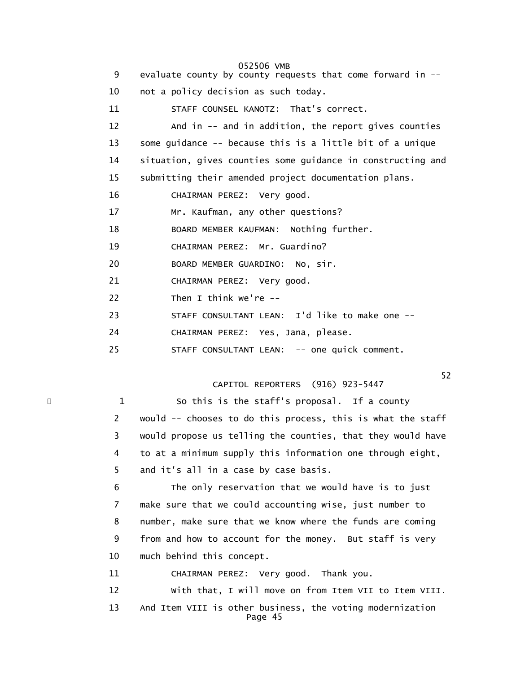| 9  | 052506 VMB<br>evaluate county by county requests that come forward in -- |
|----|--------------------------------------------------------------------------|
| 10 | not a policy decision as such today.                                     |
| 11 | STAFF COUNSEL KANOTZ: That's correct.                                    |
| 12 | And in -- and in addition, the report gives counties                     |
| 13 | some guidance -- because this is a little bit of a unique                |
| 14 | situation, gives counties some guidance in constructing and              |
| 15 | submitting their amended project documentation plans.                    |
| 16 | CHAIRMAN PEREZ: Very good.                                               |
| 17 | Mr. Kaufman, any other questions?                                        |
| 18 | BOARD MEMBER KAUFMAN: Nothing further.                                   |
| 19 | CHAIRMAN PEREZ: Mr. Guardino?                                            |
| 20 | BOARD MEMBER GUARDINO: No, sir.                                          |
| 21 | CHAIRMAN PEREZ: Very good.                                               |
| 22 | Then I think we're $-$                                                   |
| 23 | STAFF CONSULTANT LEAN: I'd like to make one --                           |
| 24 | CHAIRMAN PEREZ: Yes, Jana, please.                                       |
| 25 | STAFF CONSULTANT LEAN: -- one quick comment.                             |
|    |                                                                          |

CAPITOL REPORTERS (916) 923-5447

\* 1 So this is the staff's proposal. If a county 2 would -- chooses to do this process, this is what the staff 3 would propose us telling the counties, that they would have 4 to at a minimum supply this information one through eight, 5 and it's all in a case by case basis.

> 6 The only reservation that we would have is to just 7 make sure that we could accounting wise, just number to 8 number, make sure that we know where the funds are coming 9 from and how to account for the money. But staff is very 10 much behind this concept.

11 CHAIRMAN PEREZ: Very good. Thank you.

 12 With that, I will move on from Item VII to Item VIII. 13 And Item VIII is other business, the voting modernization Page 45

 $52$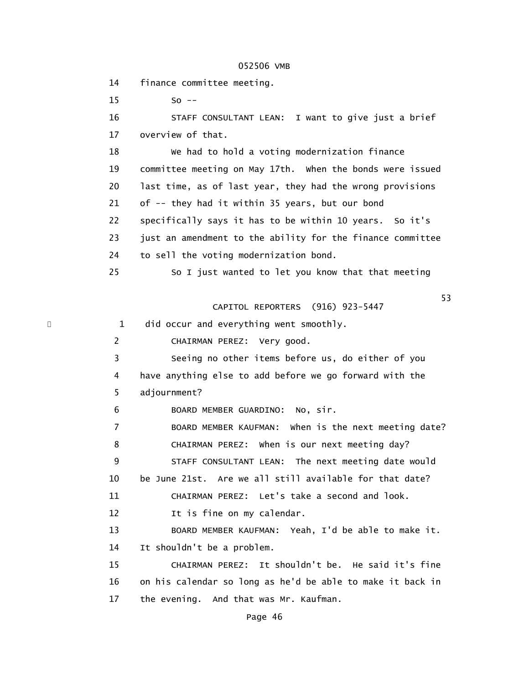14 finance committee meeting.

15 So --

 16 STAFF CONSULTANT LEAN: I want to give just a brief 17 overview of that.

 18 We had to hold a voting modernization finance 19 committee meeting on May 17th. When the bonds were issued 20 last time, as of last year, they had the wrong provisions 21 of -- they had it within 35 years, but our bond 22 specifically says it has to be within 10 years. So it's 23 just an amendment to the ability for the finance committee 24 to sell the voting modernization bond. 25 So I just wanted to let you know that that meeting

 $53$ CAPITOL REPORTERS (916) 923-5447

1 did occur and everything went smoothly.

2 CHAIRMAN PEREZ: Very good.

 3 Seeing no other items before us, do either of you 4 have anything else to add before we go forward with the 5 adjournment?

6 BOARD MEMBER GUARDINO: No, sir.

 7 BOARD MEMBER KAUFMAN: When is the next meeting date? 8 CHAIRMAN PEREZ: When is our next meeting day? 9 STAFF CONSULTANT LEAN: The next meeting date would 10 be June 21st. Are we all still available for that date? 11 CHAIRMAN PEREZ: Let's take a second and look.

12 It is fine on my calendar.

 13 BOARD MEMBER KAUFMAN: Yeah, I'd be able to make it. 14 It shouldn't be a problem.

 15 CHAIRMAN PEREZ: It shouldn't be. He said it's fine 16 on his calendar so long as he'd be able to make it back in 17 the evening. And that was Mr. Kaufman.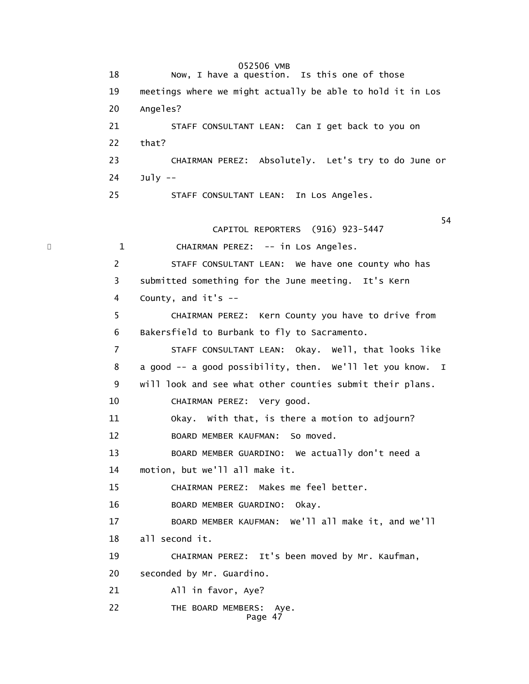052506 VMB 18 Now, I have a question. Is this one of those 19 meetings where we might actually be able to hold it in Los 20 Angeles? 21 STAFF CONSULTANT LEAN: Can I get back to you on 22 that? 23 CHAIRMAN PEREZ: Absolutely. Let's try to do June or  $24$  July  $-$  25 STAFF CONSULTANT LEAN: In Los Angeles.  $54$  CAPITOL REPORTERS (916) 923-5447 \* 1 CHAIRMAN PEREZ: -- in Los Angeles. 2 STAFF CONSULTANT LEAN: We have one county who has 3 submitted something for the June meeting. It's Kern 4 County, and it's -- 5 CHAIRMAN PEREZ: Kern County you have to drive from 6 Bakersfield to Burbank to fly to Sacramento. 7 STAFF CONSULTANT LEAN: Okay. Well, that looks like 8 a good -- a good possibility, then. We'll let you know. I 9 will look and see what other counties submit their plans. 10 CHAIRMAN PEREZ: Very good. 11 Okay. With that, is there a motion to adjourn? 12 BOARD MEMBER KAUFMAN: So moved. 13 BOARD MEMBER GUARDINO: We actually don't need a 14 motion, but we'll all make it. 15 CHAIRMAN PEREZ: Makes me feel better. 16 BOARD MEMBER GUARDINO: Okay. 17 BOARD MEMBER KAUFMAN: We'll all make it, and we'll 18 all second it. 19 CHAIRMAN PEREZ: It's been moved by Mr. Kaufman, 20 seconded by Mr. Guardino. 21 All in favor, Aye? 22 THE BOARD MEMBERS: Aye. Page 47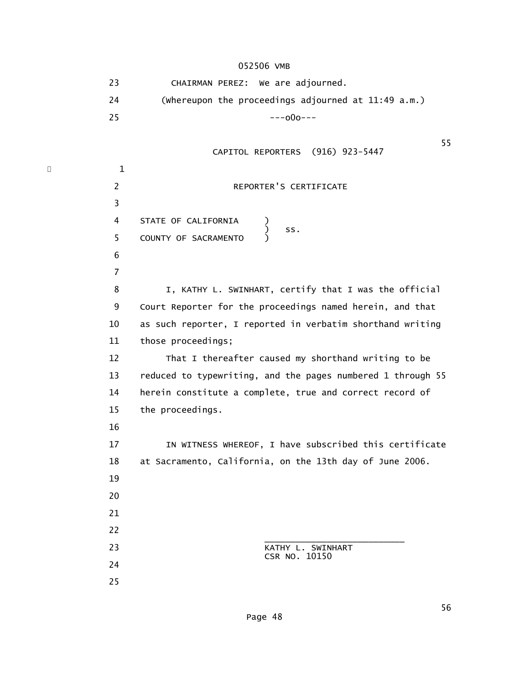23 CHAIRMAN PEREZ: We are adjourned. 24 (Whereupon the proceedings adjourned at 11:49 a.m.)  $25$  ---000--- $55$  CAPITOL REPORTERS (916) 923-5447  $\cdot$  1 2 REPORTER'S CERTIFICATE 3 4 STATE OF CALIFORNIA )  $\sim$  ss. 5 COUNTY OF SACRAMENTO 6 7 8 I, KATHY L. SWINHART, certify that I was the official 9 Court Reporter for the proceedings named herein, and that 10 as such reporter, I reported in verbatim shorthand writing 11 those proceedings; 12 That I thereafter caused my shorthand writing to be 13 reduced to typewriting, and the pages numbered 1 through 55 14 herein constitute a complete, true and correct record of 15 the proceedings. 16 17 IN WITNESS WHEREOF, I have subscribed this certificate 18 at Sacramento, California, on the 13th day of June 2006. 19 20 21 22  $\overline{\phantom{a}}$  , and the state of the state of the state of the state of the state of the state of the state of the state of the state of the state of the state of the state of the state of the state of the state of the stat 23 KATHY L. SWINHART CSR NO. 10150 24 25

 $56$